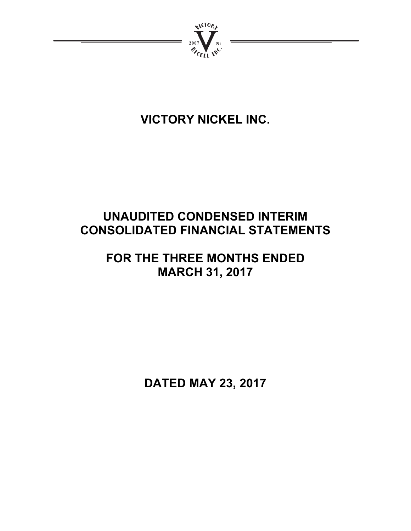

# **VICTORY NICKEL INC.**

# **UNAUDITED CONDENSED INTERIM CONSOLIDATED FINANCIAL STATEMENTS**

# **FOR THE THREE MONTHS ENDED MARCH 31, 2017**

**DATED MAY 23, 2017**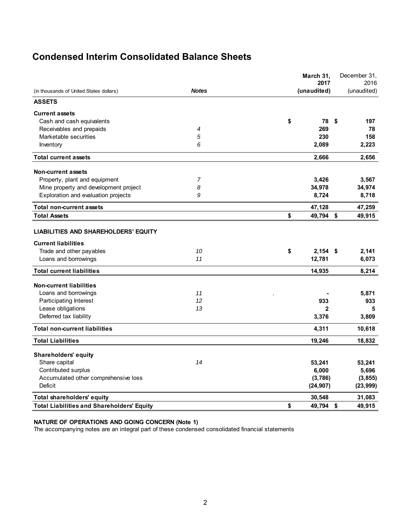# **Condensed Interim Consolidated Balance Sheets**

|                                                   |              | March 31,<br>2017 |                         | December 31,<br>2016 |
|---------------------------------------------------|--------------|-------------------|-------------------------|----------------------|
| (in thousands of United States dollars)           | <b>Notes</b> | (unaudited)       |                         | (unaudited)          |
| <b>ASSETS</b>                                     |              |                   |                         |                      |
| <b>Current assets</b>                             |              |                   |                         |                      |
| Cash and cash equivalents                         |              | \$<br>78          | -\$                     | 197                  |
| Receivables and prepaids                          | 4            | 269               |                         | 78                   |
| Marketable securities                             | 5            | 230               |                         | 158                  |
| Inventory                                         | 6            | 2,089             |                         | 2,223                |
| <b>Total current assets</b>                       |              | 2,666             |                         | 2,656                |
| Non-current assets                                |              |                   |                         |                      |
| Property, plant and equipment                     | 7            | 3,426             |                         | 3,567                |
| Mine property and development project             | 8            | 34,978            |                         | 34,974               |
| Exploration and evaluation projects               | 9            | 8,724             |                         | 8,718                |
| <b>Total non-current assets</b>                   |              | 47,128            |                         | 47,259               |
| <b>Total Assets</b>                               |              | \$<br>49,794      | $\sqrt[6]{\frac{1}{2}}$ | 49,915               |
| <b>LIABILITIES AND SHAREHOLDERS' EQUITY</b>       |              |                   |                         |                      |
| <b>Current liabilities</b>                        |              |                   |                         |                      |
| Trade and other payables                          | 10           | \$<br>$2,154$ \$  |                         | 2,141                |
| Loans and borrowings                              | 11           | 12,781            |                         | 6,073                |
| <b>Total current liabilities</b>                  |              | 14,935            |                         | 8,214                |
| <b>Non-current liabilities</b>                    |              |                   |                         |                      |
| Loans and borrowings                              | 11           |                   |                         | 5,871                |
| Participating Interest                            | 12           | 933               |                         | 933                  |
| Lease obligations                                 | 13           | $\mathbf{2}$      |                         | 5                    |
| Deferred tax liability                            |              | 3,376             |                         | 3,809                |
| <b>Total non-current liabilities</b>              |              | 4,311             |                         | 10,618               |
| <b>Total Liabilities</b>                          |              | 19,246            |                         | 18,832               |
| Shareholders' equity                              |              |                   |                         |                      |
| Share capital                                     | 14           | 53,241            |                         | 53,241               |
| Contributed surplus                               |              | 6,000             |                         | 5,696                |
| Accumulated other comprehensive loss              |              | (3,786)           |                         | (3, 855)             |
| Deficit                                           |              | (24, 907)         |                         | (23, 999)            |
| <b>Total shareholders' equity</b>                 |              | 30,548            |                         | 31,083               |
| <b>Total Liabilities and Shareholders' Equity</b> |              | \$<br>49,794      | $\sqrt[6]{\frac{1}{2}}$ | 49,915               |

### **NATURE OF OPERATIONS AND GOING CONCERN (Note 1)**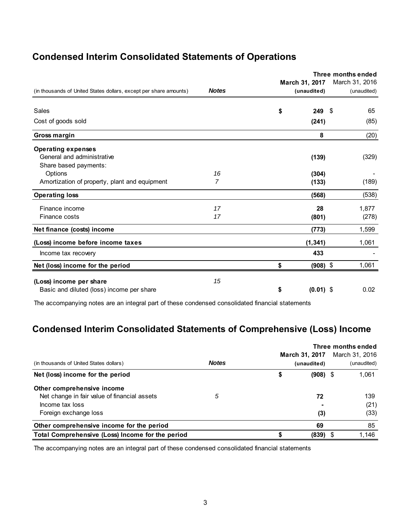# **Condensed Interim Consolidated Statements of Operations**

|                                                                   |                | Three months ended<br>March 31, 2017 |    |                               |  |  |
|-------------------------------------------------------------------|----------------|--------------------------------------|----|-------------------------------|--|--|
| (in thousands of United States dollars, except per share amounts) | <b>Notes</b>   | (unaudited)                          |    | March 31, 2016<br>(unaudited) |  |  |
| Sales                                                             |                | \$<br>249                            | \$ | 65                            |  |  |
|                                                                   |                |                                      |    |                               |  |  |
| Cost of goods sold                                                |                | (241)                                |    | (85)                          |  |  |
| Gross margin                                                      |                | 8                                    |    | (20)                          |  |  |
| <b>Operating expenses</b>                                         |                |                                      |    |                               |  |  |
| General and administrative                                        |                | (139)                                |    | (329)                         |  |  |
| Share based payments:                                             |                |                                      |    |                               |  |  |
| Options                                                           | 16             | (304)                                |    |                               |  |  |
| Amortization of property, plant and equipment                     | $\overline{7}$ | (133)                                |    | (189)                         |  |  |
| <b>Operating loss</b>                                             |                | (568)                                |    | (538)                         |  |  |
| Finance income                                                    | 17             | 28                                   |    | 1,877                         |  |  |
| Finance costs                                                     | 17             | (801)                                |    | (278)                         |  |  |
| Net finance (costs) income                                        |                | (773)                                |    | 1,599                         |  |  |
| (Loss) income before income taxes                                 |                | (1, 341)                             |    | 1,061                         |  |  |
| Income tax recovery                                               |                | 433                                  |    |                               |  |  |
| Net (loss) income for the period                                  |                | \$<br>$(908)$ \$                     |    | 1,061                         |  |  |
| (Loss) income per share                                           | 15             |                                      |    |                               |  |  |
| Basic and diluted (loss) income per share                         |                | \$<br>$(0.01)$ \$                    |    | 0.02                          |  |  |
|                                                                   |                |                                      |    |                               |  |  |

The accompanying notes are an integral part of these condensed consolidated financial statements

# **Condensed Interim Consolidated Statements of Comprehensive (Loss) Income**

| (in thousands of United States dollars)          | <b>Notes</b> | March 31, 2017<br>(unaudited) |      | Three months ended<br>March 31, 2016<br>(unaudited) |
|--------------------------------------------------|--------------|-------------------------------|------|-----------------------------------------------------|
| Net (loss) income for the period                 |              | \$<br>$(908)$ \$              |      | 1,061                                               |
| Other comprehensive income                       |              |                               |      |                                                     |
| Net change in fair value of financial assets     | 5            | 72                            |      | 139                                                 |
| Income tax loss                                  |              |                               |      | (21)                                                |
| Foreign exchange loss                            |              | (3)                           |      | (33)                                                |
| Other comprehensive income for the period        |              | 69                            |      | 85                                                  |
| Total Comprehensive (Loss) Income for the period |              | (839)                         | - \$ | 1.146                                               |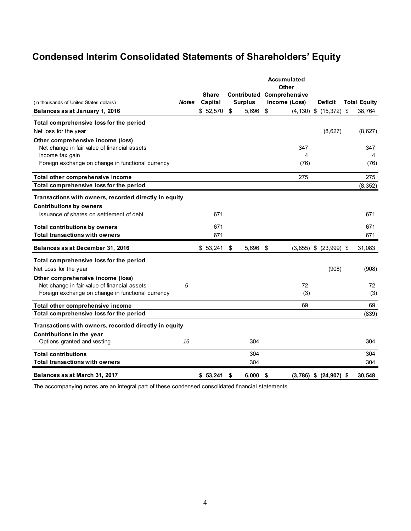# **Condensed Interim Consolidated Statements of Shareholders' Equity**

|                                                       |              |                         |                |    | Accumulated<br>Other                              |                              |                     |
|-------------------------------------------------------|--------------|-------------------------|----------------|----|---------------------------------------------------|------------------------------|---------------------|
| (in thousands of United States dollars)               | <b>Notes</b> | <b>Share</b><br>Capital | <b>Surplus</b> |    | <b>Contributed Comprehensive</b><br>Income (Loss) | <b>Deficit</b>               | <b>Total Equity</b> |
| Balances as at January 1, 2016                        |              | \$52,570                | \$<br>5,696    | \$ |                                                   | $(4, 130)$ \$ $(15, 372)$ \$ | 38,764              |
| Total comprehensive loss for the period               |              |                         |                |    |                                                   |                              |                     |
| Net loss for the year                                 |              |                         |                |    |                                                   | (8,627)                      | (8,627)             |
| Other comprehensive income (loss)                     |              |                         |                |    |                                                   |                              |                     |
| Net change in fair value of financial assets          |              |                         |                |    | 347                                               |                              | 347                 |
| Income tax gain                                       |              |                         |                |    | 4                                                 |                              | 4                   |
| Foreign exchange on change in functional currency     |              |                         |                |    | (76)                                              |                              | (76)                |
| Total other comprehensive income                      |              |                         |                |    | 275                                               |                              | 275                 |
| Total comprehensive loss for the period               |              |                         |                |    |                                                   |                              | (8, 352)            |
| Transactions with owners, recorded directly in equity |              |                         |                |    |                                                   |                              |                     |
| <b>Contributions by owners</b>                        |              |                         |                |    |                                                   |                              |                     |
| Issuance of shares on settlement of debt              |              | 671                     |                |    |                                                   |                              | 671                 |
| <b>Total contributions by owners</b>                  |              | 671                     |                |    |                                                   |                              | 671                 |
| <b>Total transactions with owners</b>                 |              | 671                     |                |    |                                                   |                              | 671                 |
| Balances as at December 31, 2016                      |              | \$53,241                | \$<br>5,696    | \$ |                                                   | $(3,855)$ \$ $(23,999)$ \$   | 31,083              |
| Total comprehensive loss for the period               |              |                         |                |    |                                                   |                              |                     |
| Net Loss for the year                                 |              |                         |                |    |                                                   | (908)                        | (908)               |
| Other comprehensive income (loss)                     |              |                         |                |    |                                                   |                              |                     |
| Net change in fair value of financial assets          | 5            |                         |                |    | 72                                                |                              | 72                  |
| Foreign exchange on change in functional currency     |              |                         |                |    | (3)                                               |                              | (3)                 |
| Total other comprehensive income                      |              |                         |                |    | 69                                                |                              | 69                  |
| Total comprehensive loss for the period               |              |                         |                |    |                                                   |                              | (839)               |
| Transactions with owners, recorded directly in equity |              |                         |                |    |                                                   |                              |                     |
| Contributions in the year                             |              |                         |                |    |                                                   |                              |                     |
| Options granted and vesting                           | 16           |                         | 304            |    |                                                   |                              | 304                 |
| Total contributions                                   |              |                         | 304            |    |                                                   |                              | 304                 |
| <b>Total transactions with owners</b>                 |              |                         | 304            |    |                                                   |                              | 304                 |
| Balances as at March 31, 2017                         |              | \$53.241                | \$<br>6.000    | S  |                                                   | $(3,786)$ \$ $(24,907)$ \$   | 30.548              |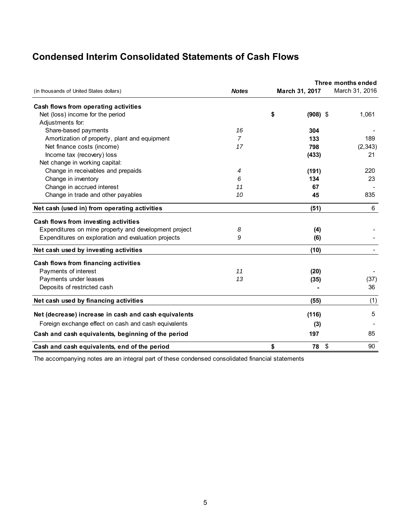# **Condensed Interim Consolidated Statements of Cash Flows**

| (in thousands of United States dollars)               | <b>Notes</b>   | March 31, 2017   | Three months ended<br>March 31, 2016 |
|-------------------------------------------------------|----------------|------------------|--------------------------------------|
| Cash flows from operating activities                  |                |                  |                                      |
| Net (loss) income for the period                      |                | \$<br>$(908)$ \$ | 1,061                                |
| Adjustments for:                                      |                |                  |                                      |
| Share-based payments                                  | 16             | 304              |                                      |
| Amortization of property, plant and equipment         | $\overline{7}$ | 133              | 189                                  |
| Net finance costs (income)                            | 17             | 798              | (2, 343)                             |
| Income tax (recovery) loss                            |                | (433)            | 21                                   |
| Net change in working capital:                        |                |                  |                                      |
| Change in receivables and prepaids                    | 4              | (191)            | 220                                  |
| Change in inventory                                   | 6              | 134              | 23                                   |
| Change in accrued interest                            | 11             | 67               |                                      |
| Change in trade and other payables                    | 10             | 45               | 835                                  |
| Net cash (used in) from operating activities          |                | (51)             | 6                                    |
| Cash flows from investing activities                  |                |                  |                                      |
| Expenditures on mine property and development project | 8              | (4)              |                                      |
| Expenditures on exploration and evaluation projects   | 9              | (6)              |                                      |
| Net cash used by investing activities                 |                | (10)             |                                      |
| Cash flows from financing activities                  |                |                  |                                      |
| Payments of interest                                  | 11             | (20)             |                                      |
| Payments under leases                                 | 13             | (35)             | (37)                                 |
| Deposits of restricted cash                           |                |                  | 36                                   |
| Net cash used by financing activities                 |                | (55)             | (1)                                  |
| Net (decrease) increase in cash and cash equivalents  |                | (116)            | 5                                    |
| Foreign exchange effect on cash and cash equivalents  |                | (3)              |                                      |
| Cash and cash equivalents, beginning of the period    |                | 197              | 85                                   |
| Cash and cash equivalents, end of the period          |                | \$<br>78<br>\$   | 90                                   |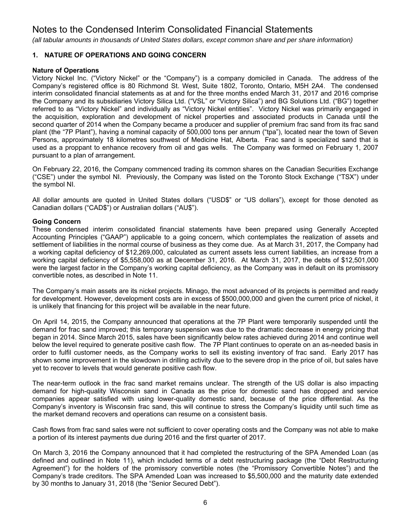*(all tabular amounts in thousands of United States dollars, except common share and per share information)*

## **1. NATURE OF OPERATIONS AND GOING CONCERN**

## **Nature of Operations**

Victory Nickel Inc. ("Victory Nickel" or the "Company") is a company domiciled in Canada. The address of the Company's registered office is 80 Richmond St. West, Suite 1802, Toronto, Ontario, M5H 2A4. The condensed interim consolidated financial statements as at and for the three months ended March 31, 2017 and 2016 comprise the Company and its subsidiaries Victory Silica Ltd. ("VSL" or "Victory Silica") and BG Solutions Ltd. ("BG") together referred to as "Victory Nickel" and individually as "Victory Nickel entities". Victory Nickel was primarily engaged in the acquisition, exploration and development of nickel properties and associated products in Canada until the second quarter of 2014 when the Company became a producer and supplier of premium frac sand from its frac sand plant (the "7P Plant"), having a nominal capacity of 500,000 tons per annum ("tpa"), located near the town of Seven Persons, approximately 18 kilometres southwest of Medicine Hat, Alberta. Frac sand is specialized sand that is used as a proppant to enhance recovery from oil and gas wells. The Company was formed on February 1, 2007 pursuant to a plan of arrangement.

On February 22, 2016, the Company commenced trading its common shares on the Canadian Securities Exchange ("CSE") under the symbol NI. Previously, the Company was listed on the Toronto Stock Exchange ("TSX") under the symbol NI.

All dollar amounts are quoted in United States dollars ("USD\$" or "US dollars"), except for those denoted as Canadian dollars ("CAD\$") or Australian dollars ("AU\$").

## **Going Concern**

These condensed interim consolidated financial statements have been prepared using Generally Accepted Accounting Principles ("GAAP") applicable to a going concern, which contemplates the realization of assets and settlement of liabilities in the normal course of business as they come due. As at March 31, 2017, the Company had a working capital deficiency of \$12,269,000, calculated as current assets less current liabilities, an increase from a working capital deficiency of \$5,558,000 as at December 31, 2016. At March 31, 2017, the debts of \$12,501,000 were the largest factor in the Company's working capital deficiency, as the Company was in default on its promissory convertible notes, as described in Note 11.

The Company's main assets are its nickel projects. Minago, the most advanced of its projects is permitted and ready for development. However, development costs are in excess of \$500,000,000 and given the current price of nickel, it is unlikely that financing for this project will be available in the near future.

On April 14, 2015, the Company announced that operations at the 7P Plant were temporarily suspended until the demand for frac sand improved; this temporary suspension was due to the dramatic decrease in energy pricing that began in 2014. Since March 2015, sales have been significantly below rates achieved during 2014 and continue well below the level required to generate positive cash flow. The 7P Plant continues to operate on an as-needed basis in order to fulfil customer needs, as the Company works to sell its existing inventory of frac sand. Early 2017 has shown some improvement in the slowdown in drilling activity due to the severe drop in the price of oil, but sales have yet to recover to levels that would generate positive cash flow.

The near-term outlook in the frac sand market remains unclear. The strength of the US dollar is also impacting demand for high-quality Wisconsin sand in Canada as the price for domestic sand has dropped and service companies appear satisfied with using lower-quality domestic sand, because of the price differential. As the Company's inventory is Wisconsin frac sand, this will continue to stress the Company's liquidity until such time as the market demand recovers and operations can resume on a consistent basis.

Cash flows from frac sand sales were not sufficient to cover operating costs and the Company was not able to make a portion of its interest payments due during 2016 and the first quarter of 2017.

On March 3, 2016 the Company announced that it had completed the restructuring of the SPA Amended Loan (as defined and outlined in Note 11), which included terms of a debt restructuring package (the "Debt Restructuring Agreement") for the holders of the promissory convertible notes (the "Promissory Convertible Notes") and the Company's trade creditors. The SPA Amended Loan was increased to \$5,500,000 and the maturity date extended by 30 months to January 31, 2018 (the "Senior Secured Debt").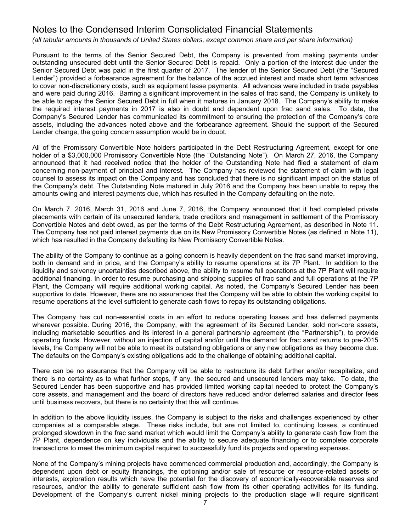*(all tabular amounts in thousands of United States dollars, except common share and per share information)*

Pursuant to the terms of the Senior Secured Debt, the Company is prevented from making payments under outstanding unsecured debt until the Senior Secured Debt is repaid. Only a portion of the interest due under the Senior Secured Debt was paid in the first quarter of 2017. The lender of the Senior Secured Debt (the "Secured Lender") provided a forbearance agreement for the balance of the accrued interest and made short term advances to cover non-discretionary costs, such as equipment lease payments. All advances were included in trade payables and were paid during 2016. Barring a significant improvement in the sales of frac sand, the Company is unlikely to be able to repay the Senior Secured Debt in full when it matures in January 2018. The Company's ability to make the required interest payments in 2017 is also in doubt and dependent upon frac sand sales. To date, the Company's Secured Lender has communicated its commitment to ensuring the protection of the Company's core assets, including the advances noted above and the forbearance agreement. Should the support of the Secured Lender change, the going concern assumption would be in doubt.

All of the Promissory Convertible Note holders participated in the Debt Restructuring Agreement, except for one holder of a \$3,000,000 Promissory Convertible Note (the "Outstanding Note"). On March 27, 2016, the Company announced that it had received notice that the holder of the Outstanding Note had filed a statement of claim concerning non-payment of principal and interest. The Company has reviewed the statement of claim with legal counsel to assess its impact on the Company and has concluded that there is no significant impact on the status of the Company's debt. The Outstanding Note matured in July 2016 and the Company has been unable to repay the amounts owing and interest payments due, which has resulted in the Company defaulting on the note.

On March 7, 2016, March 31, 2016 and June 7, 2016, the Company announced that it had completed private placements with certain of its unsecured lenders, trade creditors and management in settlement of the Promissory Convertible Notes and debt owed, as per the terms of the Debt Restructuring Agreement, as described in Note 11. The Company has not paid interest payments due on its New Promissory Convertible Notes (as defined in Note 11), which has resulted in the Company defaulting its New Promissory Convertible Notes.

The ability of the Company to continue as a going concern is heavily dependent on the frac sand market improving, both in demand and in price, and the Company's ability to resume operations at its 7P Plant. In addition to the liquidity and solvency uncertainties described above, the ability to resume full operations at the 7P Plant will require additional financing. In order to resume purchasing and shipping supplies of frac sand and full operations at the 7P Plant, the Company will require additional working capital. As noted, the Company's Secured Lender has been supportive to date. However, there are no assurances that the Company will be able to obtain the working capital to resume operations at the level sufficient to generate cash flows to repay its outstanding obligations.

The Company has cut non-essential costs in an effort to reduce operating losses and has deferred payments wherever possible. During 2016, the Company, with the agreement of its Secured Lender, sold non-core assets, including marketable securities and its interest in a general partnership agreement (the "Partnership"), to provide operating funds. However, without an injection of capital and/or until the demand for frac sand returns to pre-2015 levels, the Company will not be able to meet its outstanding obligations or any new obligations as they become due. The defaults on the Company's existing obligations add to the challenge of obtaining additional capital.

There can be no assurance that the Company will be able to restructure its debt further and/or recapitalize, and there is no certainty as to what further steps, if any, the secured and unsecured lenders may take. To date, the Secured Lender has been supportive and has provided limited working capital needed to protect the Company's core assets, and management and the board of directors have reduced and/or deferred salaries and director fees until business recovers, but there is no certainty that this will continue.

In addition to the above liquidity issues, the Company is subject to the risks and challenges experienced by other companies at a comparable stage. These risks include, but are not limited to, continuing losses, a continued prolonged slowdown in the frac sand market which would limit the Company's ability to generate cash flow from the 7P Plant, dependence on key individuals and the ability to secure adequate financing or to complete corporate transactions to meet the minimum capital required to successfully fund its projects and operating expenses.

None of the Company's mining projects have commenced commercial production and, accordingly, the Company is dependent upon debt or equity financings, the optioning and/or sale of resource or resource-related assets or interests, exploration results which have the potential for the discovery of economically-recoverable reserves and resources, and/or the ability to generate sufficient cash flow from its other operating activities for its funding. Development of the Company's current nickel mining projects to the production stage will require significant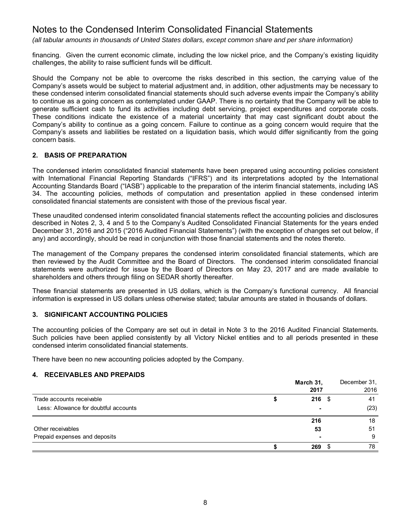*(all tabular amounts in thousands of United States dollars, except common share and per share information)*

financing. Given the current economic climate, including the low nickel price, and the Company's existing liquidity challenges, the ability to raise sufficient funds will be difficult.

Should the Company not be able to overcome the risks described in this section, the carrying value of the Company's assets would be subject to material adjustment and, in addition, other adjustments may be necessary to these condensed interim consolidated financial statements should such adverse events impair the Company's ability to continue as a going concern as contemplated under GAAP. There is no certainty that the Company will be able to generate sufficient cash to fund its activities including debt servicing, project expenditures and corporate costs. These conditions indicate the existence of a material uncertainty that may cast significant doubt about the Company's ability to continue as a going concern. Failure to continue as a going concern would require that the Company's assets and liabilities be restated on a liquidation basis, which would differ significantly from the going concern basis.

## **2. BASIS OF PREPARATION**

The condensed interim consolidated financial statements have been prepared using accounting policies consistent with International Financial Reporting Standards ("IFRS") and its interpretations adopted by the International Accounting Standards Board ("IASB") applicable to the preparation of the interim financial statements, including IAS 34. The accounting policies, methods of computation and presentation applied in these condensed interim consolidated financial statements are consistent with those of the previous fiscal year.

These unaudited condensed interim consolidated financial statements reflect the accounting policies and disclosures described in Notes 2, 3, 4 and 5 to the Company's Audited Consolidated Financial Statements for the years ended December 31, 2016 and 2015 ("2016 Audited Financial Statements") (with the exception of changes set out below, if any) and accordingly, should be read in conjunction with those financial statements and the notes thereto.

The management of the Company prepares the condensed interim consolidated financial statements, which are then reviewed by the Audit Committee and the Board of Directors. The condensed interim consolidated financial statements were authorized for issue by the Board of Directors on May 23, 2017 and are made available to shareholders and others through filing on SEDAR shortly thereafter.

These financial statements are presented in US dollars, which is the Company's functional currency. All financial information is expressed in US dollars unless otherwise stated; tabular amounts are stated in thousands of dollars.

### **3. SIGNIFICANT ACCOUNTING POLICIES**

The accounting policies of the Company are set out in detail in Note 3 to the 2016 Audited Financial Statements. Such policies have been applied consistently by all Victory Nickel entities and to all periods presented in these condensed interim consolidated financial statements.

There have been no new accounting policies adopted by the Company.

### **4. RECEIVABLES AND PREPAIDS**

|                                       | March 31, | December 31, |
|---------------------------------------|-----------|--------------|
|                                       | 2017      | 2016         |
| Trade accounts receivable             | $216$ \$  | 41           |
| Less: Allowance for doubtful accounts |           | (23)         |
|                                       | 216       | 18           |
| Other receivables                     | 53        | 51           |
| Prepaid expenses and deposits         |           | 9            |
|                                       | 269       | 78           |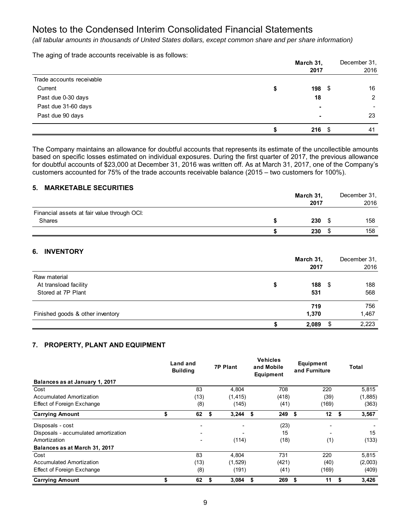*(all tabular amounts in thousands of United States dollars, except common share and per share information)*

The aging of trade accounts receivable is as follows:

|                           |   | March 31,<br>2017        | December 31,<br>2016 |
|---------------------------|---|--------------------------|----------------------|
| Trade accounts receivable |   |                          |                      |
| Current                   | w | $198$ \$                 | 16                   |
| Past due 0-30 days        |   | 18                       | $\overline{2}$       |
| Past due 31-60 days       |   | $\overline{\phantom{0}}$ |                      |
| Past due 90 days          |   | $\blacksquare$           | 23                   |
|                           |   | $216$ \$                 | 41                   |

The Company maintains an allowance for doubtful accounts that represents its estimate of the uncollectible amounts based on specific losses estimated on individual exposures. During the first quarter of 2017, the previous allowance for doubtful accounts of \$23,000 at December 31, 2016 was written off. As at March 31, 2017, one of the Company's customers accounted for 75% of the trade accounts receivable balance (2015 – two customers for 100%).

## **5. MARKETABLE SECURITIES**

|                                                              | March 31,<br>2017 | December 31.<br>2016 |
|--------------------------------------------------------------|-------------------|----------------------|
| Financial assets at fair value through OCI:<br><b>Shares</b> | 230               | 158                  |
|                                                              | 230               | 158                  |

# **6. INVENTORY**

|                                  | March 31,<br>2017 | December 31,<br>2016 |
|----------------------------------|-------------------|----------------------|
| Raw material                     |                   |                      |
| At transload facility            | \$<br>$188$ \$    | 188                  |
| Stored at 7P Plant               | 531               | 568                  |
|                                  | 719               | 756                  |
| Finished goods & other inventory | 1,370             | 1,467                |
|                                  | 2,089             | \$<br>2,223          |

## **7. PROPERTY, PLANT AND EQUIPMENT**

|                                      | Land and<br><b>Building</b> | <b>7P Plant</b> |            | <b>Vehicles</b><br>and Mobile<br><b>Equipment</b> |   | Equipment<br>and Furniture | Total       |
|--------------------------------------|-----------------------------|-----------------|------------|---------------------------------------------------|---|----------------------------|-------------|
| Balances as at January 1, 2017       |                             |                 |            |                                                   |   |                            |             |
| Cost                                 | 83                          |                 | 4.804      | 708                                               |   | 220                        | 5,815       |
| Accumulated Amortization             | (13)                        |                 | (1, 415)   | (418)                                             |   | (39)                       | (1,885)     |
| Effect of Foreign Exchange           | (8)                         |                 | (145)      | (41)                                              |   | (169)                      | (363)       |
| <b>Carrying Amount</b>               | \$<br>62                    | \$              | $3,244$ \$ | $249$ \$                                          |   | 12 <sub>2</sub>            | \$<br>3,567 |
| Disposals - cost                     |                             |                 |            | (23)                                              |   | $\overline{\phantom{0}}$   |             |
| Disposals - accumulated amortization | $\overline{\phantom{0}}$    |                 |            | 15                                                |   | $\overline{\phantom{0}}$   | 15          |
| Amortization                         | ٠                           |                 | (114)      | (18)                                              |   | (1)                        | (133)       |
| Balances as at March 31, 2017        |                             |                 |            |                                                   |   |                            |             |
| Cost                                 | 83                          |                 | 4,804      | 731                                               |   | 220                        | 5,815       |
| Accumulated Amortization             | (13)                        |                 | (1,529)    | (421)                                             |   | (40)                       | (2,003)     |
| Effect of Foreign Exchange           | (8)                         |                 | (191)      | (41)                                              |   | (169)                      | (409)       |
| <b>Carrying Amount</b>               | \$<br>62                    | 5               | 3,084      | \$<br>269                                         | S | 11                         | \$<br>3,426 |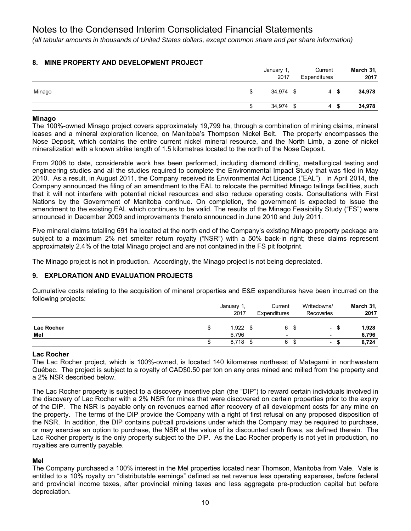*(all tabular amounts in thousands of United States dollars, except common share and per share information)*

## **8. MINE PROPERTY AND DEVELOPMENT PROJECT**

|        | January 1,<br>2017 | Current<br>Expenditures | March 31,<br>2017 |
|--------|--------------------|-------------------------|-------------------|
| Minago | 34,974 \$          | 4                       | 34,978            |
|        | 34,974             | - \$<br>4               | 34,978            |

### **Minago**

The 100%-owned Minago project covers approximately 19,799 ha, through a combination of mining claims, mineral leases and a mineral exploration licence, on Manitoba's Thompson Nickel Belt. The property encompasses the Nose Deposit, which contains the entire current nickel mineral resource, and the North Limb, a zone of nickel mineralization with a known strike length of 1.5 kilometres located to the north of the Nose Deposit.

From 2006 to date, considerable work has been performed, including diamond drilling, metallurgical testing and engineering studies and all the studies required to complete the Environmental Impact Study that was filed in May 2010. As a result, in August 2011, the Company received its Environmental Act Licence ("EAL"). In April 2014, the Company announced the filing of an amendment to the EAL to relocate the permitted Minago tailings facilities, such that it will not interfere with potential nickel resources and also reduce operating costs. Consultations with First Nations by the Government of Manitoba continue. On completion, the government is expected to issue the amendment to the existing EAL which continues to be valid. The results of the Minago Feasibility Study ("FS") were announced in December 2009 and improvements thereto announced in June 2010 and July 2011.

Five mineral claims totalling 691 ha located at the north end of the Company's existing Minago property package are subject to a maximum 2% net smelter return royalty ("NSR") with a 50% back-in right; these claims represent approximately 2.4% of the total Minago project and are not contained in the FS pit footprint.

The Minago project is not in production. Accordingly, the Minago project is not being depreciated.

### **9. EXPLORATION AND EVALUATION PROJECTS**

Cumulative costs relating to the acquisition of mineral properties and E&E expenditures have been incurred on the following projects:

|                   |   | January 1,<br>2017 | Current<br>Expenditures |      | Writedowns/<br>Recoveries                            | March 31,<br>2017 |
|-------------------|---|--------------------|-------------------------|------|------------------------------------------------------|-------------------|
| Lac Rocher<br>Mel | S | 1,922<br>6.796     | 6<br>-                  | - \$ | $\overline{\phantom{0}}$<br>$\overline{\phantom{a}}$ | 1,928<br>6.796    |
|                   |   | 8,718              |                         | -JD  | $\overline{\phantom{0}}$                             | 8,724             |

### **Lac Rocher**

The Lac Rocher project, which is 100%-owned, is located 140 kilometres northeast of Matagami in northwestern Québec. The project is subject to a royalty of CAD\$0.50 per ton on any ores mined and milled from the property and a 2% NSR described below.

The Lac Rocher property is subject to a discovery incentive plan (the "DIP") to reward certain individuals involved in the discovery of Lac Rocher with a 2% NSR for mines that were discovered on certain properties prior to the expiry of the DIP. The NSR is payable only on revenues earned after recovery of all development costs for any mine on the property. The terms of the DIP provide the Company with a right of first refusal on any proposed disposition of the NSR. In addition, the DIP contains put/call provisions under which the Company may be required to purchase, or may exercise an option to purchase, the NSR at the value of its discounted cash flows, as defined therein. The Lac Rocher property is the only property subject to the DIP. As the Lac Rocher property is not yet in production, no royalties are currently payable.

### **Mel**

The Company purchased a 100% interest in the Mel properties located near Thomson, Manitoba from Vale. Vale is entitled to a 10% royalty on "distributable earnings" defined as net revenue less operating expenses, before federal and provincial income taxes, after provincial mining taxes and less aggregate pre-production capital but before depreciation.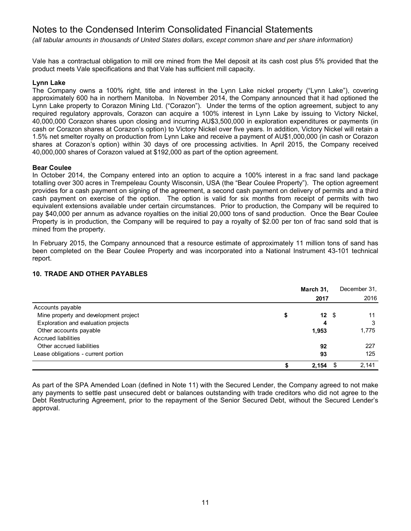*(all tabular amounts in thousands of United States dollars, except common share and per share information)*

Vale has a contractual obligation to mill ore mined from the Mel deposit at its cash cost plus 5% provided that the product meets Vale specifications and that Vale has sufficient mill capacity.

## **Lynn Lake**

The Company owns a 100% right, title and interest in the Lynn Lake nickel property ("Lynn Lake"), covering approximately 600 ha in northern Manitoba. In November 2014, the Company announced that it had optioned the Lynn Lake property to Corazon Mining Ltd. ("Corazon"). Under the terms of the option agreement, subject to any required regulatory approvals, Corazon can acquire a 100% interest in Lynn Lake by issuing to Victory Nickel, 40,000,000 Corazon shares upon closing and incurring AU\$3,500,000 in exploration expenditures or payments (in cash or Corazon shares at Corazon's option) to Victory Nickel over five years. In addition, Victory Nickel will retain a 1.5% net smelter royalty on production from Lynn Lake and receive a payment of AU\$1,000,000 (in cash or Corazon shares at Corazon's option) within 30 days of ore processing activities. In April 2015, the Company received 40,000,000 shares of Corazon valued at \$192,000 as part of the option agreement.

## **Bear Coulee**

In October 2014, the Company entered into an option to acquire a 100% interest in a frac sand land package totalling over 300 acres in Trempeleau County Wisconsin, USA (the "Bear Coulee Property"). The option agreement provides for a cash payment on signing of the agreement, a second cash payment on delivery of permits and a third cash payment on exercise of the option. The option is valid for six months from receipt of permits with two equivalent extensions available under certain circumstances. Prior to production, the Company will be required to pay \$40,000 per annum as advance royalties on the initial 20,000 tons of sand production. Once the Bear Coulee Property is in production, the Company will be required to pay a royalty of \$2.00 per ton of frac sand sold that is mined from the property.

In February 2015, the Company announced that a resource estimate of approximately 11 million tons of sand has been completed on the Bear Coulee Property and was incorporated into a National Instrument 43-101 technical report.

# **10. TRADE AND OTHER PAYABLES**

|                                       |   | March 31,        |      | December 31, |
|---------------------------------------|---|------------------|------|--------------|
|                                       |   | 2017             |      | 2016         |
| Accounts payable                      |   |                  |      |              |
| Mine property and development project | S | 12 <sup>12</sup> | - \$ | 11           |
| Exploration and evaluation projects   |   | 4                |      | 3            |
| Other accounts payable                |   | 1,953            |      | 1,775        |
| Accrued liabilities                   |   |                  |      |              |
| Other accrued liabilities             |   | 92               |      | 227          |
| Lease obligations - current portion   |   | 93               |      | 125          |
|                                       |   | 2,154            |      | 2,141        |

As part of the SPA Amended Loan (defined in Note 11) with the Secured Lender, the Company agreed to not make any payments to settle past unsecured debt or balances outstanding with trade creditors who did not agree to the Debt Restructuring Agreement, prior to the repayment of the Senior Secured Debt, without the Secured Lender's approval.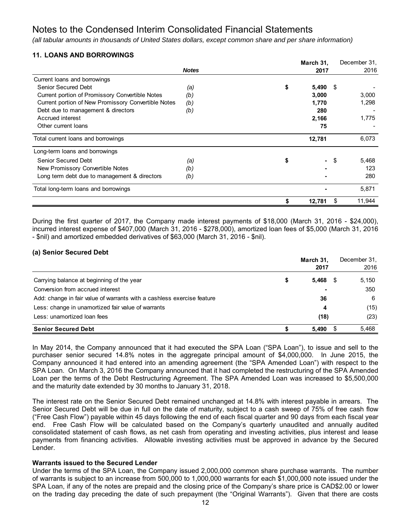*(all tabular amounts in thousands of United States dollars, except common share and per share information)*

# **11. LOANS AND BORROWINGS**

|                                                     |              | March 31,   |          | December 31. |
|-----------------------------------------------------|--------------|-------------|----------|--------------|
|                                                     | <b>Notes</b> | 2017        |          | 2016         |
| Current loans and borrowings                        |              |             |          |              |
| Senior Secured Debt                                 | (a)          | \$<br>5,490 | -S       |              |
| Current portion of Promissory Convertible Notes     | (b)          | 3,000       |          | 3,000        |
| Current portion of New Promissory Convertible Notes | (b)          | 1,770       |          | 1,298        |
| Debt due to management & directors                  | (b)          | 280         |          |              |
| Accrued interest                                    |              | 2,166       |          | 1,775        |
| Other current loans                                 |              |             | 75       |              |
| Total current loans and borrowings                  |              | 12,781      |          | 6,073        |
| Long-term loans and borrowings                      |              |             |          |              |
| <b>Senior Secured Debt</b>                          | (a)          | \$          | -S<br>۰. | 5,468        |
| New Promissory Convertible Notes                    | (b)          |             |          | 123          |
| Long term debt due to management & directors        | (b)          |             |          | 280          |
| Total long-term loans and borrowings                |              |             |          | 5,871        |
|                                                     |              | 12,781      |          | 11,944<br>\$ |

During the first quarter of 2017, the Company made interest payments of \$18,000 (March 31, 2016 - \$24,000), incurred interest expense of \$407,000 (March 31, 2016 - \$278,000), amortized loan fees of \$5,000 (March 31, 2016 - \$nil) and amortized embedded derivatives of \$63,000 (March 31, 2016 - \$nil).

### **(a) Senior Secured Debt**

|                                                                        |   | March 31.<br>2017 |      | December 31,<br>2016 |
|------------------------------------------------------------------------|---|-------------------|------|----------------------|
| Carrying balance at beginning of the year                              | S | 5,468             | - SS | 5,150                |
| Conversion from accrued interest                                       |   |                   |      | 350                  |
| Add: change in fair value of warrants with a cashless exercise feature |   | 36                |      | 6                    |
| Less: change in unamortized fair value of warrants                     |   | 4                 |      | (15)                 |
| Less: unamortized loan fees                                            |   | (18)              |      | (23)                 |
| <b>Senior Secured Debt</b>                                             |   | 5,490             |      | 5.468                |

In May 2014, the Company announced that it had executed the SPA Loan ("SPA Loan"), to issue and sell to the purchaser senior secured 14.8% notes in the aggregate principal amount of \$4,000,000. In June 2015, the Company announced it had entered into an amending agreement (the "SPA Amended Loan") with respect to the SPA Loan. On March 3, 2016 the Company announced that it had completed the restructuring of the SPA Amended Loan per the terms of the Debt Restructuring Agreement. The SPA Amended Loan was increased to \$5,500,000 and the maturity date extended by 30 months to January 31, 2018.

The interest rate on the Senior Secured Debt remained unchanged at 14.8% with interest payable in arrears. The Senior Secured Debt will be due in full on the date of maturity, subject to a cash sweep of 75% of free cash flow ("Free Cash Flow") payable within 45 days following the end of each fiscal quarter and 90 days from each fiscal year end. Free Cash Flow will be calculated based on the Company's quarterly unaudited and annually audited consolidated statement of cash flows, as net cash from operating and investing activities, plus interest and lease payments from financing activities. Allowable investing activities must be approved in advance by the Secured Lender.

### **Warrants issued to the Secured Lender**

Under the terms of the SPA Loan, the Company issued 2,000,000 common share purchase warrants. The number of warrants is subject to an increase from 500,000 to 1,000,000 warrants for each \$1,000,000 note issued under the SPA Loan, if any of the notes are prepaid and the closing price of the Company's share price is CAD\$2.00 or lower on the trading day preceding the date of such prepayment (the "Original Warrants"). Given that there are costs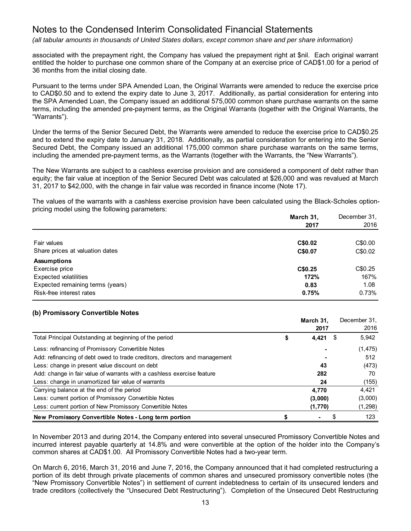*(all tabular amounts in thousands of United States dollars, except common share and per share information)*

associated with the prepayment right, the Company has valued the prepayment right at \$nil. Each original warrant entitled the holder to purchase one common share of the Company at an exercise price of CAD\$1.00 for a period of 36 months from the initial closing date.

Pursuant to the terms under SPA Amended Loan, the Original Warrants were amended to reduce the exercise price to CAD\$0.50 and to extend the expiry date to June 3, 2017. Additionally, as partial consideration for entering into the SPA Amended Loan, the Company issued an additional 575,000 common share purchase warrants on the same terms, including the amended pre-payment terms, as the Original Warrants (together with the Original Warrants, the "Warrants").

Under the terms of the Senior Secured Debt, the Warrants were amended to reduce the exercise price to CAD\$0.25 and to extend the expiry date to January 31, 2018. Additionally, as partial consideration for entering into the Senior Secured Debt, the Company issued an additional 175,000 common share purchase warrants on the same terms, including the amended pre-payment terms, as the Warrants (together with the Warrants, the "New Warrants").

The New Warrants are subject to a cashless exercise provision and are considered a component of debt rather than equity; the fair value at inception of the Senior Secured Debt was calculated at \$26,000 and was revalued at March 31, 2017 to \$42,000, with the change in fair value was recorded in finance income (Note 17).

The values of the warrants with a cashless exercise provision have been calculated using the Black-Scholes optionpricing model using the following parameters:

|                                  | March 31, | December 31, |
|----------------------------------|-----------|--------------|
|                                  | 2017      | 2016         |
|                                  |           |              |
| Fair values                      | C\$0.02   | C\$0.00      |
| Share prices at valuation dates  | C\$0.07   | C\$0.02      |
| <b>Assumptions</b>               |           |              |
| Exercise price                   | C\$0.25   | C\$0.25      |
| <b>Expected volatilities</b>     | 172%      | 167%         |
| Expected remaining terms (years) | 0.83      | 1.08         |
| Risk-free interest rates         | 0.75%     | 0.73%        |

### **(b) Promissory Convertible Notes**

|                                                                            |   | March 31, |   | December 31. |
|----------------------------------------------------------------------------|---|-----------|---|--------------|
|                                                                            |   | 2017      |   | 2016         |
| Total Principal Outstanding at beginning of the period                     | S | 4,421     | S | 5,942        |
| Less: refinancing of Promissory Convertible Notes                          |   |           |   | (1, 475)     |
| Add: refinancing of debt owed to trade creditors, directors and management |   |           |   | 512          |
| Less: change in present value discount on debt                             |   | 43        |   | (473)        |
| Add: change in fair value of warrants with a cashless exercise feature     |   | 282       |   | 70           |
| Less: change in unamortized fair value of warrants                         |   | 24        |   | (155)        |
| Carrying balance at the end of the period                                  |   | 4.770     |   | 4.421        |
| Less: current portion of Promissory Convertible Notes                      |   | (3,000)   |   | (3,000)      |
| Less: current portion of New Promissory Convertible Notes                  |   | (1,770)   |   | (1, 298)     |
| New Promissory Convertible Notes - Long term portion                       |   |           |   | 123          |

In November 2013 and during 2014, the Company entered into several unsecured Promissory Convertible Notes and incurred interest payable quarterly at 14.8% and were convertible at the option of the holder into the Company's common shares at CAD\$1.00. All Promissory Convertible Notes had a two-year term.

On March 6, 2016, March 31, 2016 and June 7, 2016, the Company announced that it had completed restructuring a portion of its debt through private placements of common shares and unsecured promissory convertible notes (the "New Promissory Convertible Notes") in settlement of current indebtedness to certain of its unsecured lenders and trade creditors (collectively the "Unsecured Debt Restructuring"). Completion of the Unsecured Debt Restructuring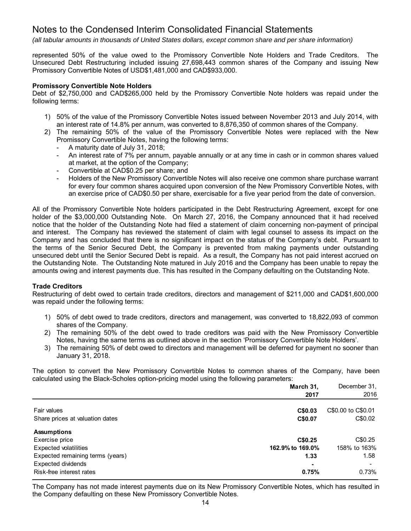*(all tabular amounts in thousands of United States dollars, except common share and per share information)*

represented 50% of the value owed to the Promissory Convertible Note Holders and Trade Creditors. The Unsecured Debt Restructuring included issuing 27,698,443 common shares of the Company and issuing New Promissory Convertible Notes of USD\$1,481,000 and CAD\$933,000.

### **Promissory Convertible Note Holders**

Debt of \$2,750,000 and CAD\$265,000 held by the Promissory Convertible Note holders was repaid under the following terms:

- 1) 50% of the value of the Promissory Convertible Notes issued between November 2013 and July 2014, with an interest rate of 14.8% per annum, was converted to 8,876,350 of common shares of the Company.
- 2) The remaining 50% of the value of the Promissory Convertible Notes were replaced with the New Promissory Convertible Notes, having the following terms:
	- A maturity date of July 31, 2018;
	- An interest rate of 7% per annum, payable annually or at any time in cash or in common shares valued at market, at the option of the Company;
	- Convertible at CAD\$0.25 per share; and
	- Holders of the New Promissory Convertible Notes will also receive one common share purchase warrant for every four common shares acquired upon conversion of the New Promissory Convertible Notes, with an exercise price of CAD\$0.50 per share, exercisable for a five year period from the date of conversion.

All of the Promissory Convertible Note holders participated in the Debt Restructuring Agreement, except for one holder of the \$3,000,000 Outstanding Note. On March 27, 2016, the Company announced that it had received notice that the holder of the Outstanding Note had filed a statement of claim concerning non-payment of principal and interest. The Company has reviewed the statement of claim with legal counsel to assess its impact on the Company and has concluded that there is no significant impact on the status of the Company's debt. Pursuant to the terms of the Senior Secured Debt, the Company is prevented from making payments under outstanding unsecured debt until the Senior Secured Debt is repaid. As a result, the Company has not paid interest accrued on the Outstanding Note. The Outstanding Note matured in July 2016 and the Company has been unable to repay the amounts owing and interest payments due. This has resulted in the Company defaulting on the Outstanding Note.

## **Trade Creditors**

Restructuring of debt owed to certain trade creditors, directors and management of \$211,000 and CAD\$1,600,000 was repaid under the following terms:

- 1) 50% of debt owed to trade creditors, directors and management, was converted to 18,822,093 of common shares of the Company.
- 2) The remaining 50% of the debt owed to trade creditors was paid with the New Promissory Convertible Notes, having the same terms as outlined above in the section 'Promissory Convertible Note Holders'.
- 3) The remaining 50% of debt owed to directors and management will be deferred for payment no sooner than January 31, 2018.

The option to convert the New Promissory Convertible Notes to common shares of the Company, have been calculated using the Black-Scholes option-pricing model using the following parameters:

|                                  | March 31,        | December 31.       |
|----------------------------------|------------------|--------------------|
|                                  | 2017             | 2016               |
| Fair values                      | C\$0.03          | C\$0.00 to C\$0.01 |
| Share prices at valuation dates  | C\$0.07          | C\$0.02            |
| <b>Assumptions</b>               |                  |                    |
| Exercise price                   | C\$0.25          | C\$0.25            |
| <b>Expected volatilities</b>     | 162.9% to 169.0% | 158% to 163%       |
| Expected remaining terms (years) | 1.33             | 1.58               |
| <b>Expected dividends</b>        | ٠                |                    |
| Risk-free interest rates         | 0.75%            | 0.73%              |

The Company has not made interest payments due on its New Promissory Convertible Notes, which has resulted in the Company defaulting on these New Promissory Convertible Notes.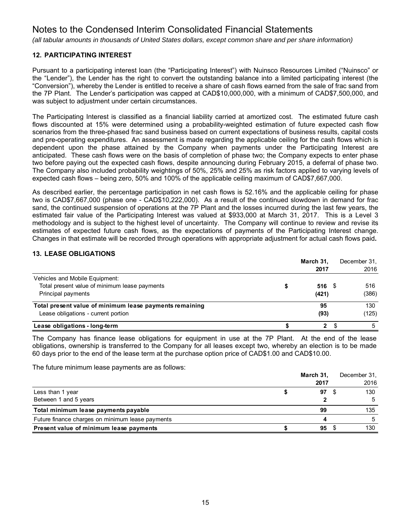*(all tabular amounts in thousands of United States dollars, except common share and per share information)*

# **12. PARTICIPATING INTEREST**

Pursuant to a participating interest loan (the "Participating Interest") with Nuinsco Resources Limited ("Nuinsco" or the "Lender"), the Lender has the right to convert the outstanding balance into a limited participating interest (the "Conversion"), whereby the Lender is entitled to receive a share of cash flows earned from the sale of frac sand from the 7P Plant. The Lender's participation was capped at CAD\$10,000,000, with a minimum of CAD\$7,500,000, and was subject to adjustment under certain circumstances.

The Participating Interest is classified as a financial liability carried at amortized cost. The estimated future cash flows discounted at 15% were determined using a probability-weighted estimation of future expected cash flow scenarios from the three-phased frac sand business based on current expectations of business results, capital costs and pre-operating expenditures. An assessment is made regarding the applicable ceiling for the cash flows which is dependent upon the phase attained by the Company when payments under the Participating Interest are anticipated. These cash flows were on the basis of completion of phase two; the Company expects to enter phase two before paying out the expected cash flows, despite announcing during February 2015, a deferral of phase two. The Company also included probability weightings of 50%, 25% and 25% as risk factors applied to varying levels of expected cash flows – being zero, 50% and 100% of the applicable ceiling maximum of CAD\$7,667,000.

As described earlier, the percentage participation in net cash flows is 52.16% and the applicable ceiling for phase two is CAD\$7,667,000 (phase one - CAD\$10,222,000). As a result of the continued slowdown in demand for frac sand, the continued suspension of operations at the 7P Plant and the losses incurred during the last few years, the estimated fair value of the Participating Interest was valued at \$933,000 at March 31, 2017. This is a Level 3 methodology and is subject to the highest level of uncertainty. The Company will continue to review and revise its estimates of expected future cash flows, as the expectations of payments of the Participating Interest change. Changes in that estimate will be recorded through operations with appropriate adjustment for actual cash flows paid**.** 

# **13. LEASE OBLIGATIONS**

|                                                         | March 31, |      | December 31. |
|---------------------------------------------------------|-----------|------|--------------|
|                                                         | 2017      |      | 2016         |
| Vehicles and Mobile Equipment:                          |           |      |              |
| Total present value of minimum lease payments           | 516       | - \$ | 516          |
| Principal payments                                      | (421)     |      | (386)        |
| Total present value of minimum lease payments remaining | 95        |      | 130          |
| Lease obligations - current portion                     | (93)      |      | (125)        |
| Lease obligations - long-term                           | 2         |      |              |

The Company has finance lease obligations for equipment in use at the 7P Plant. At the end of the lease obligations, ownership is transferred to the Company for all leases except two, whereby an election is to be made 60 days prior to the end of the lease term at the purchase option price of CAD\$1.00 and CAD\$10.00.

The future minimum lease payments are as follows:

|                                                  | March 31, | December 31, |
|--------------------------------------------------|-----------|--------------|
|                                                  | 2017      | 2016         |
| Less than 1 year                                 | 97        | 130          |
| Between 1 and 5 years                            |           |              |
| Total minimum lease payments payable             | 99        | 135          |
| Future finance charges on minimum lease payments |           |              |
| Present value of minimum lease payments          | 95        | 130          |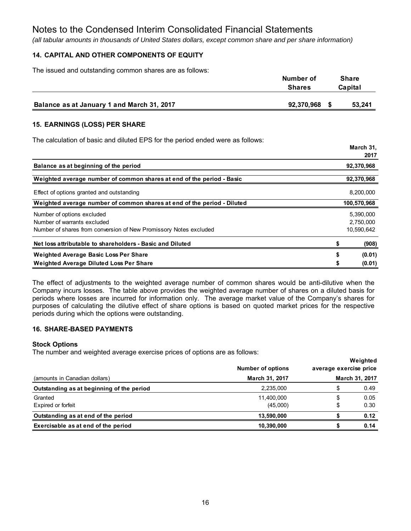*(all tabular amounts in thousands of United States dollars, except common share and per share information)*

# **14. CAPITAL AND OTHER COMPONENTS OF EQUITY**

The issued and outstanding common shares are as follows:

|                                            | Number of<br><b>Shares</b> |  | <b>Share</b><br>Capital |
|--------------------------------------------|----------------------------|--|-------------------------|
| Balance as at January 1 and March 31, 2017 | 92,370,968                 |  | 53,241                  |

## **15. EARNINGS (LOSS) PER SHARE**

The calculation of basic and diluted EPS for the period ended were as follows:

|                                                                                                                                | יי טויטואו<br>2017                   |
|--------------------------------------------------------------------------------------------------------------------------------|--------------------------------------|
| Balance as at beginning of the period                                                                                          | 92,370,968                           |
| Weighted average number of common shares at end of the period - Basic                                                          | 92,370,968                           |
| Effect of options granted and outstanding                                                                                      | 8,200,000                            |
| Weighted average number of common shares at end of the period - Diluted                                                        | 100,570,968                          |
| Number of options excluded<br>Number of warrants excluded<br>Number of shares from conversion of New Promissory Notes excluded | 5,390,000<br>2,750,000<br>10,590,642 |
| Net loss attributable to shareholders - Basic and Diluted                                                                      | (908)                                |
| <b>Weighted Average Basic Loss Per Share</b>                                                                                   | \$<br>(0.01)                         |
| <b>Weighted Average Diluted Loss Per Share</b>                                                                                 | (0.01)                               |

**March 31,**

The effect of adjustments to the weighted average number of common shares would be anti-dilutive when the Company incurs losses. The table above provides the weighted average number of shares on a diluted basis for periods where losses are incurred for information only. The average market value of the Company's shares for purposes of calculating the dilutive effect of share options is based on quoted market prices for the respective periods during which the options were outstanding.

## **16. SHARE-BASED PAYMENTS**

### **Stock Options**

The number and weighted average exercise prices of options are as follows:

|                                           | <b>Number of options</b> | average exercise price | Weighted       |
|-------------------------------------------|--------------------------|------------------------|----------------|
| (amounts in Canadian dollars)             | March 31, 2017           |                        | March 31, 2017 |
| Outstanding as at beginning of the period | 2,235,000                | \$                     | 0.49           |
| Granted                                   | 11,400,000               | \$                     | 0.05           |
| Expired or forfeit                        | (45,000)                 | \$                     | 0.30           |
| Outstanding as at end of the period       | 13,590,000               |                        | 0.12           |
| Exercisable as at end of the period       | 10,390,000               |                        | 0.14           |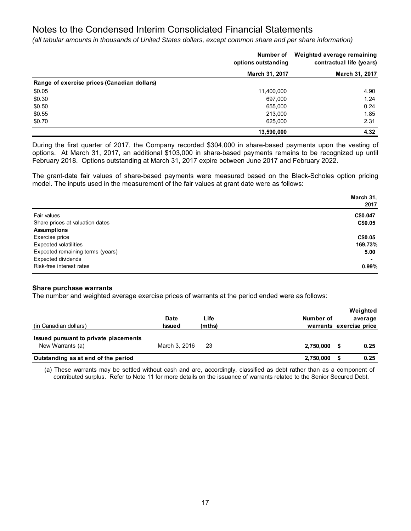*(all tabular amounts in thousands of United States dollars, except common share and per share information)*

|                                             | Number of<br>options outstanding | Weighted average remaining<br>contractual life (years) |
|---------------------------------------------|----------------------------------|--------------------------------------------------------|
|                                             | March 31, 2017                   | March 31, 2017                                         |
| Range of exercise prices (Canadian dollars) |                                  |                                                        |
| \$0.05                                      | 11,400,000                       | 4.90                                                   |
| \$0.30                                      | 697,000                          | 1.24                                                   |
| \$0.50                                      | 655.000                          | 0.24                                                   |
| \$0.55                                      | 213,000                          | 1.85                                                   |
| \$0.70                                      | 625,000                          | 2.31                                                   |
|                                             | 13,590,000                       | 4.32                                                   |

During the first quarter of 2017, the Company recorded \$304,000 in share-based payments upon the vesting of options. At March 31, 2017, an additional \$103,000 in share-based payments remains to be recognized up until February 2018. Options outstanding at March 31, 2017 expire between June 2017 and February 2022.

The grant-date fair values of share-based payments were measured based on the Black-Scholes option pricing model. The inputs used in the measurement of the fair values at grant date were as follows:

|                                  | March 31, |
|----------------------------------|-----------|
|                                  | 2017      |
| Fair values                      | C\$0.047  |
| Share prices at valuation dates  | C\$0.05   |
| <b>Assumptions</b>               |           |
| Exercise price                   | C\$0.05   |
| <b>Expected volatilities</b>     | 169.73%   |
| Expected remaining terms (years) | 5.00      |
| <b>Expected dividends</b>        |           |
| Risk-free interest rates         | 0.99%     |

### **Share purchase warrants**

The number and weighted average exercise prices of warrants at the period ended were as follows:

| (in Canadian dollars)                                     | <b>Date</b><br><b>Issued</b> | Life<br>(mths) | Number of | Weighted<br>average<br>warrants exercise price |
|-----------------------------------------------------------|------------------------------|----------------|-----------|------------------------------------------------|
| Issued pursuant to private placements<br>New Warrants (a) | March 3, 2016                | -23            | 2,750,000 | 0.25                                           |
| Outstanding as at end of the period                       |                              |                | 2,750,000 | 0.25                                           |

(a) These warrants may be settled without cash and are, accordingly, classified as debt rather than as a component of contributed surplus. Refer to Note 11 for more details on the issuance of warrants related to the Senior Secured Debt.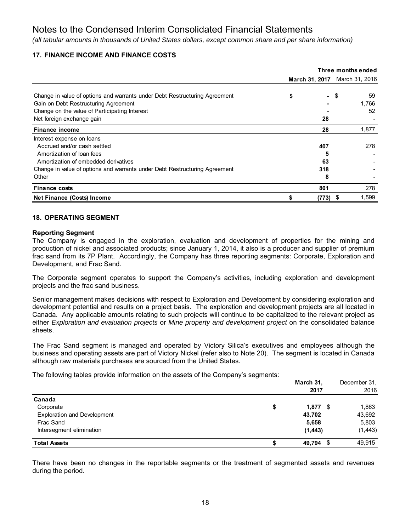*(all tabular amounts in thousands of United States dollars, except common share and per share information)*

# **17. FINANCE INCOME AND FINANCE COSTS**

|                                                                            | Three months ended |          |                               |
|----------------------------------------------------------------------------|--------------------|----------|-------------------------------|
|                                                                            |                    |          | March 31, 2017 March 31, 2016 |
|                                                                            |                    |          |                               |
| Change in value of options and warrants under Debt Restructuring Agreement | \$                 | - \$     | 59                            |
| Gain on Debt Restructuring Agreement                                       |                    |          | 1,766                         |
| Change on the value of Participating Interest                              |                    |          | 52                            |
| Net foreign exchange gain                                                  |                    | 28       |                               |
| <b>Finance income</b>                                                      |                    | 28       | 1,877                         |
| Interest expense on loans                                                  |                    |          |                               |
| Accrued and/or cash settled                                                |                    | 407      | 278                           |
| Amortization of loan fees                                                  |                    | 5        |                               |
| Amortization of embedded derivatives                                       |                    | 63       |                               |
| Change in value of options and warrants under Debt Restructuring Agreement |                    | 318      |                               |
| Other                                                                      |                    | 8        |                               |
| <b>Finance costs</b>                                                       |                    | 801      | 278                           |
| Net Finance (Costs) Income                                                 |                    | (773) \$ | 1,599                         |

### **18. OPERATING SEGMENT**

### **Reporting Segment**

The Company is engaged in the exploration, evaluation and development of properties for the mining and production of nickel and associated products; since January 1, 2014, it also is a producer and supplier of premium frac sand from its 7P Plant. Accordingly, the Company has three reporting segments: Corporate, Exploration and Development, and Frac Sand.

The Corporate segment operates to support the Company's activities, including exploration and development projects and the frac sand business.

Senior management makes decisions with respect to Exploration and Development by considering exploration and development potential and results on a project basis. The exploration and development projects are all located in Canada. Any applicable amounts relating to such projects will continue to be capitalized to the relevant project as either *Exploration and evaluation projects* or *Mine property and development project* on the consolidated balance sheets.

The Frac Sand segment is managed and operated by Victory Silica's executives and employees although the business and operating assets are part of Victory Nickel (refer also to Note 20). The segment is located in Canada although raw materials purchases are sourced from the United States.

The following tables provide information on the assets of the Company's segments:

|                                    | March 31,<br>2017 | December 31,<br>2016 |
|------------------------------------|-------------------|----------------------|
| Canada                             |                   |                      |
| Corporate                          | \$<br>$1,877$ \$  | 1,863                |
| <b>Exploration and Development</b> | 43,702            | 43,692               |
| Frac Sand                          | 5,658             | 5,803                |
| Intersegment elimination           | (1, 443)          | (1, 443)             |
| <b>Total Assets</b>                | 49,794 \$         | 49,915               |

There have been no changes in the reportable segments or the treatment of segmented assets and revenues during the period.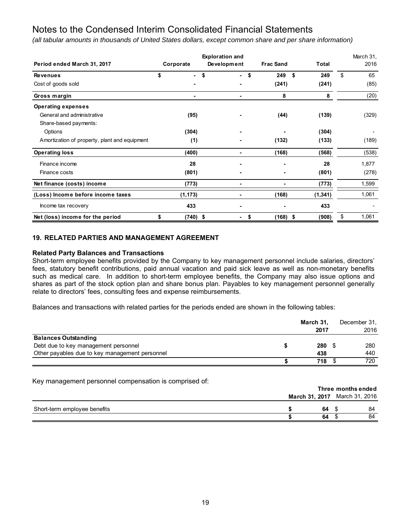*(all tabular amounts in thousands of United States dollars, except common share and per share information)*

|                                               |                      | <b>Exploration and</b> |                  | March 31, |             |
|-----------------------------------------------|----------------------|------------------------|------------------|-----------|-------------|
| Period ended March 31, 2017                   | Corporate            | Development            | <b>Frac Sand</b> | Total     | 2016        |
| <b>Revenues</b>                               | \$<br>$\blacksquare$ | \$<br>\$<br>$\sim$     | \$<br>249        | 249       | \$<br>65    |
| Cost of goods sold                            |                      |                        | (241)            | (241)     | (85)        |
| Gross margin                                  |                      | ٠                      | 8                | 8         | (20)        |
| <b>Operating expenses</b>                     |                      |                        |                  |           |             |
| General and administrative                    | (95)                 |                        | (44)             | (139)     | (329)       |
| Share-based payments:                         |                      |                        |                  |           |             |
| Options                                       | (304)                |                        |                  | (304)     |             |
| Amortization of property, plant and equipment | (1)                  |                        | (132)            | (133)     | (189)       |
| <b>Operating loss</b>                         | (400)                | ۰                      | (168)            | (568)     | (538)       |
| Finance income                                | 28                   |                        | ۰                | 28        | 1,877       |
| Finance costs                                 | (801)                |                        |                  | (801)     | (278)       |
| Net finance (costs) income                    | (773)                | ۰                      | ۰                | (773)     | 1,599       |
| (Loss) Income before income taxes             | (1, 173)             |                        | (168)            | (1, 341)  | 1,061       |
| Income tax recovery                           | 433                  |                        |                  | 433       |             |
| Net (loss) income for the period              | \$<br>$(740)$ \$     | $\blacksquare$         | \$<br>$(168)$ \$ | (908)     | \$<br>1,061 |

## **19. RELATED PARTIES AND MANAGEMENT AGREEMENT**

### **Related Party Balances and Transactions**

Short-term employee benefits provided by the Company to key management personnel include salaries, directors' fees, statutory benefit contributions, paid annual vacation and paid sick leave as well as non-monetary benefits such as medical care. In addition to short-term employee benefits, the Company may also issue options and shares as part of the stock option plan and share bonus plan. Payables to key management personnel generally relate to directors' fees, consulting fees and expense reimbursements.

Balances and transactions with related parties for the periods ended are shown in the following tables:

|                                                | March 31. |  | December 31, |
|------------------------------------------------|-----------|--|--------------|
|                                                | 2017      |  | 2016         |
| <b>Balances Outstanding</b>                    |           |  |              |
| Debt due to key management personnel           | 280       |  | 280          |
| Other payables due to key management personnel | 438       |  | 440          |
|                                                | 718       |  | 720          |

Key management personnel compensation is comprised of:

|                              | Three months ended            |    |  |    |
|------------------------------|-------------------------------|----|--|----|
|                              | March 31, 2017 March 31, 2016 |    |  |    |
| Short-term employee benefits |                               | 64 |  | 84 |
|                              |                               | 64 |  | 84 |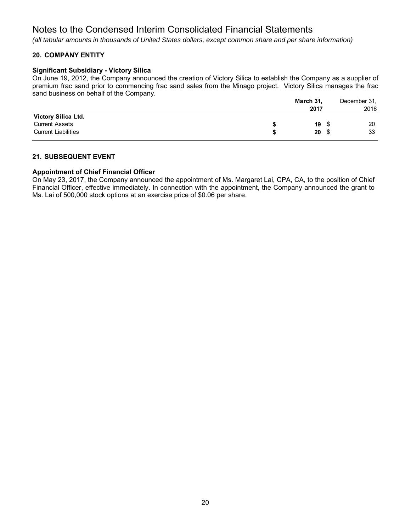*(all tabular amounts in thousands of United States dollars, except common share and per share information)*

# **20. COMPANY ENTITY**

### **Significant Subsidiary - Victory Silica**

On June 19, 2012, the Company announced the creation of Victory Silica to establish the Company as a supplier of premium frac sand prior to commencing frac sand sales from the Minago project. Victory Silica manages the frac sand business on behalf of the Company.

|                            |   | March 31, |      | December 31, |
|----------------------------|---|-----------|------|--------------|
|                            |   | 2017      |      | 2016         |
| Victory Silica Ltd.        |   |           |      |              |
| <b>Current Assets</b>      |   | 19        | - \$ | 20           |
| <b>Current Liabilities</b> | S | 20        |      | 33           |

## **21. SUBSEQUENT EVENT**

## **Appointment of Chief Financial Officer**

On May 23, 2017, the Company announced the appointment of Ms. Margaret Lai, CPA, CA, to the position of Chief Financial Officer, effective immediately. In connection with the appointment, the Company announced the grant to Ms. Lai of 500,000 stock options at an exercise price of \$0.06 per share.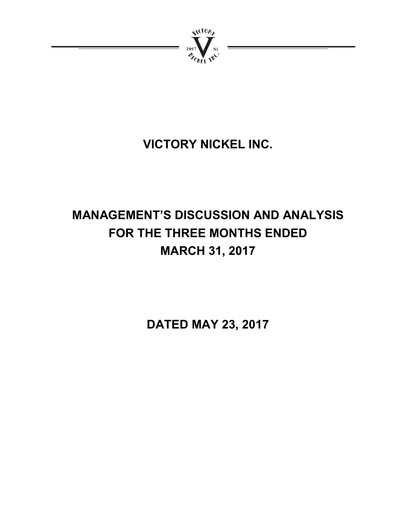

# **VICTORY NICKEL INC.**

# **MANAGEMENT'S DISCUSSION AND ANALYSIS FOR THE THREE MONTHS ENDED MARCH 31, 2017**

**DATED MAY 23, 2017**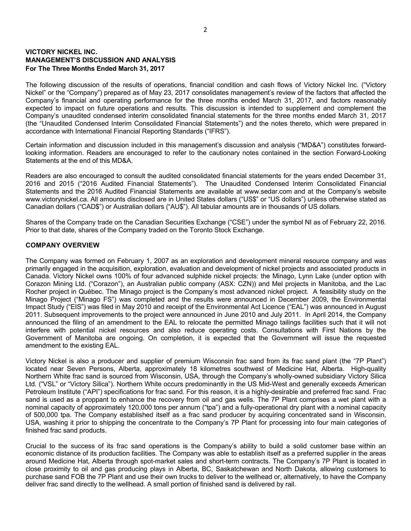## **VICTORY NICKEL INC. MANAGEMENT'S DISCUSSION AND ANALYSIS For The Three Months Ended March 31, 2017**

The following discussion of the results of operations, financial condition and cash flows of Victory Nickel Inc. ("Victory Nickel" or the "Company") prepared as of May 23, 2017 consolidates management's review of the factors that affected the Company's financial and operating performance for the three months ended March 31, 2017, and factors reasonably expected to impact on future operations and results. This discussion is intended to supplement and complement the Company's unaudited condensed interim consolidated financial statements for the three months ended March 31, 2017 (the "Unaudited Condensed Interim Consolidated Financial Statements") and the notes thereto, which were prepared in accordance with International Financial Reporting Standards ("IFRS").

Certain information and discussion included in this management's discussion and analysis ("MD&A") constitutes forwardlooking information. Readers are encouraged to refer to the cautionary notes contained in the section Forward-Looking Statements at the end of this MD&A.

Readers are also encouraged to consult the audited consolidated financial statements for the years ended December 31, 2016 and 2015 ("2016 Audited Financial Statements"). The Unaudited Condensed Interim Consolidated Financial Statements and the 2016 Audited Financial Statements are available at www.sedar.com and at the Company's website www.victorynickel.ca. All amounts disclosed are in United States dollars ("US\$" or "US dollars") unless otherwise stated as Canadian dollars ("CAD\$") or Australian dollars ("AU\$"). All tabular amounts are in thousands of US dollars.

Shares of the Company trade on the Canadian Securities Exchange ("CSE") under the symbol NI as of February 22, 2016. Prior to that date, shares of the Company traded on the Toronto Stock Exchange.

## **COMPANY OVERVIEW**

The Company was formed on February 1, 2007 as an exploration and development mineral resource company and was primarily engaged in the acquisition, exploration, evaluation and development of nickel projects and associated products in Canada. Victory Nickel owns 100% of four advanced sulphide nickel projects: the Minago, Lynn Lake (under option with Corazon Mining Ltd. ("Corazon"), an Australian public company (ASX: CZN)) and Mel projects in Manitoba, and the Lac Rocher project in Québec. The Minago project is the Company's most advanced nickel project. A feasibility study on the Minago Project ("Minago FS") was completed and the results were announced in December 2009, the Environmental Impact Study ("EIS") was filed in May 2010 and receipt of the Environmental Act Licence ("EAL") was announced in August 2011. Subsequent improvements to the project were announced in June 2010 and July 2011. In April 2014, the Company announced the filing of an amendment to the EAL to relocate the permitted Minago tailings facilities such that it will not interfere with potential nickel resources and also reduce operating costs. Consultations with First Nations by the Government of Manitoba are ongoing. On completion, it is expected that the Government will issue the requested amendment to the existing EAL.

Victory Nickel is also a producer and supplier of premium Wisconsin frac sand from its frac sand plant (the "7P Plant") located near Seven Persons, Alberta, approximately 18 kilometres southwest of Medicine Hat, Alberta. High-quality Northern White frac sand is sourced from Wisconsin, USA, through the Company's wholly-owned subsidiary Victory Silica Ltd. ("VSL" or "Victory Silica"). Northern White occurs predominantly in the US Mid-West and generally exceeds American Petroleum Institute ("API") specifications for frac sand. For this reason, it is a highly-desirable and preferred frac sand. Frac sand is used as a proppant to enhance the recovery from oil and gas wells. The 7P Plant comprises a wet plant with a nominal capacity of approximately 120,000 tons per annum ("tpa") and a fully-operational dry plant with a nominal capacity of 500,000 tpa. The Company established itself as a frac sand producer by acquiring concentrated sand in Wisconsin, USA, washing it prior to shipping the concentrate to the Company's 7P Plant for processing into four main categories of finished frac sand products.

Crucial to the success of its frac sand operations is the Company's ability to build a solid customer base within an economic distance of its production facilities. The Company was able to establish itself as a preferred supplier in the areas around Medicine Hat, Alberta through spot-market sales and short-term contracts. The Company's 7P Plant is located in close proximity to oil and gas producing plays in Alberta, BC, Saskatchewan and North Dakota, allowing customers to purchase sand FOB the 7P Plant and use their own trucks to deliver to the wellhead or, alternatively, to have the Company deliver frac sand directly to the wellhead. A small portion of finished sand is delivered by rail.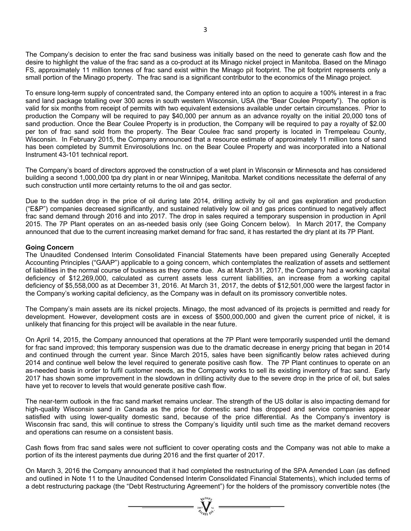The Company's decision to enter the frac sand business was initially based on the need to generate cash flow and the desire to highlight the value of the frac sand as a co-product at its Minago nickel project in Manitoba. Based on the Minago FS, approximately 11 million tonnes of frac sand exist within the Minago pit footprint. The pit footprint represents only a small portion of the Minago property. The frac sand is a significant contributor to the economics of the Minago project.

To ensure long-term supply of concentrated sand, the Company entered into an option to acquire a 100% interest in a frac sand land package totalling over 300 acres in south western Wisconsin, USA (the "Bear Coulee Property"). The option is valid for six months from receipt of permits with two equivalent extensions available under certain circumstances. Prior to production the Company will be required to pay \$40,000 per annum as an advance royalty on the initial 20,000 tons of sand production. Once the Bear Coulee Property is in production, the Company will be required to pay a royalty of \$2.00 per ton of frac sand sold from the property. The Bear Coulee frac sand property is located in Trempeleau County, Wisconsin. In February 2015, the Company announced that a resource estimate of approximately 11 million tons of sand has been completed by Summit Envirosolutions Inc. on the Bear Coulee Property and was incorporated into a National Instrument 43-101 technical report.

The Company's board of directors approved the construction of a wet plant in Wisconsin or Minnesota and has considered building a second 1,000,000 tpa dry plant in or near Winnipeg, Manitoba. Market conditions necessitate the deferral of any such construction until more certainty returns to the oil and gas sector.

Due to the sudden drop in the price of oil during late 2014, drilling activity by oil and gas exploration and production ("E&P") companies decreased significantly, and sustained relatively low oil and gas prices continued to negatively affect frac sand demand through 2016 and into 2017. The drop in sales required a temporary suspension in production in April 2015. The 7P Plant operates on an as-needed basis only (see Going Concern below). In March 2017, the Company announced that due to the current increasing market demand for frac sand, it has restarted the dry plant at its 7P Plant.

## **Going Concern**

The Unaudited Condensed Interim Consolidated Financial Statements have been prepared using Generally Accepted Accounting Principles ("GAAP") applicable to a going concern, which contemplates the realization of assets and settlement of liabilities in the normal course of business as they come due. As at March 31, 2017, the Company had a working capital deficiency of \$12,269,000, calculated as current assets less current liabilities, an increase from a working capital deficiency of \$5,558,000 as at December 31, 2016. At March 31, 2017, the debts of \$12,501,000 were the largest factor in the Company's working capital deficiency, as the Company was in default on its promissory convertible notes.

The Company's main assets are its nickel projects. Minago, the most advanced of its projects is permitted and ready for development. However, development costs are in excess of \$500,000,000 and given the current price of nickel, it is unlikely that financing for this project will be available in the near future.

On April 14, 2015, the Company announced that operations at the 7P Plant were temporarily suspended until the demand for frac sand improved; this temporary suspension was due to the dramatic decrease in energy pricing that began in 2014 and continued through the current year. Since March 2015, sales have been significantly below rates achieved during 2014 and continue well below the level required to generate positive cash flow. The 7P Plant continues to operate on an as-needed basis in order to fulfil customer needs, as the Company works to sell its existing inventory of frac sand. Early 2017 has shown some improvement in the slowdown in drilling activity due to the severe drop in the price of oil, but sales have yet to recover to levels that would generate positive cash flow.

The near-term outlook in the frac sand market remains unclear. The strength of the US dollar is also impacting demand for high-quality Wisconsin sand in Canada as the price for domestic sand has dropped and service companies appear satisfied with using lower-quality domestic sand, because of the price differential. As the Company's inventory is Wisconsin frac sand, this will continue to stress the Company's liquidity until such time as the market demand recovers and operations can resume on a consistent basis.

Cash flows from frac sand sales were not sufficient to cover operating costs and the Company was not able to make a portion of its the interest payments due during 2016 and the first quarter of 2017.

On March 3, 2016 the Company announced that it had completed the restructuring of the SPA Amended Loan (as defined and outlined in Note 11 to the Unaudited Condensed Interim Consolidated Financial Statements), which included terms of a debt restructuring package (the "Debt Restructuring Agreement") for the holders of the promissory convertible notes (the

 $= \sum_{i=1}^{n} \sum_{i=1}^{n} \sum_{i=1}^{n} =$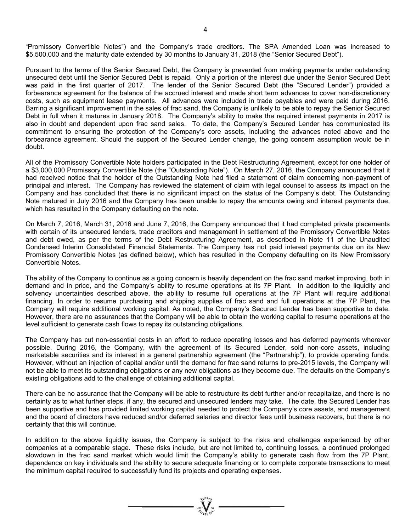"Promissory Convertible Notes") and the Company's trade creditors. The SPA Amended Loan was increased to \$5,500,000 and the maturity date extended by 30 months to January 31, 2018 (the "Senior Secured Debt").

Pursuant to the terms of the Senior Secured Debt, the Company is prevented from making payments under outstanding unsecured debt until the Senior Secured Debt is repaid. Only a portion of the interest due under the Senior Secured Debt was paid in the first quarter of 2017. The lender of the Senior Secured Debt (the "Secured Lender") provided a forbearance agreement for the balance of the accrued interest and made short term advances to cover non-discretionary costs, such as equipment lease payments. All advances were included in trade payables and were paid during 2016. Barring a significant improvement in the sales of frac sand, the Company is unlikely to be able to repay the Senior Secured Debt in full when it matures in January 2018. The Company's ability to make the required interest payments in 2017 is also in doubt and dependent upon frac sand sales. To date, the Company's Secured Lender has communicated its commitment to ensuring the protection of the Company's core assets, including the advances noted above and the forbearance agreement. Should the support of the Secured Lender change, the going concern assumption would be in doubt.

All of the Promissory Convertible Note holders participated in the Debt Restructuring Agreement, except for one holder of a \$3,000,000 Promissory Convertible Note (the "Outstanding Note"). On March 27, 2016, the Company announced that it had received notice that the holder of the Outstanding Note had filed a statement of claim concerning non-payment of principal and interest. The Company has reviewed the statement of claim with legal counsel to assess its impact on the Company and has concluded that there is no significant impact on the status of the Company's debt. The Outstanding Note matured in July 2016 and the Company has been unable to repay the amounts owing and interest payments due, which has resulted in the Company defaulting on the note.

On March 7, 2016, March 31, 2016 and June 7, 2016, the Company announced that it had completed private placements with certain of its unsecured lenders, trade creditors and management in settlement of the Promissory Convertible Notes and debt owed, as per the terms of the Debt Restructuring Agreement, as described in Note 11 of the Unaudited Condensed Interim Consolidated Financial Statements. The Company has not paid interest payments due on its New Promissory Convertible Notes (as defined below), which has resulted in the Company defaulting on its New Promissory Convertible Notes.

The ability of the Company to continue as a going concern is heavily dependent on the frac sand market improving, both in demand and in price, and the Company's ability to resume operations at its 7P Plant. In addition to the liquidity and solvency uncertainties described above, the ability to resume full operations at the 7P Plant will require additional financing. In order to resume purchasing and shipping supplies of frac sand and full operations at the 7P Plant, the Company will require additional working capital. As noted, the Company's Secured Lender has been supportive to date. However, there are no assurances that the Company will be able to obtain the working capital to resume operations at the level sufficient to generate cash flows to repay its outstanding obligations.

The Company has cut non-essential costs in an effort to reduce operating losses and has deferred payments wherever possible. During 2016, the Company, with the agreement of its Secured Lender, sold non-core assets, including marketable securities and its interest in a general partnership agreement (the "Partnership"), to provide operating funds. However, without an injection of capital and/or until the demand for frac sand returns to pre-2015 levels, the Company will not be able to meet its outstanding obligations or any new obligations as they become due. The defaults on the Company's existing obligations add to the challenge of obtaining additional capital.

There can be no assurance that the Company will be able to restructure its debt further and/or recapitalize, and there is no certainty as to what further steps, if any, the secured and unsecured lenders may take. The date, the Secured Lender has been supportive and has provided limited working capital needed to protect the Company's core assets, and management and the board of directors have reduced and/or deferred salaries and director fees until business recovers, but there is no certainty that this will continue.

In addition to the above liquidity issues, the Company is subject to the risks and challenges experienced by other companies at a comparable stage. These risks include, but are not limited to, continuing losses, a continued prolonged slowdown in the frac sand market which would limit the Company's ability to generate cash flow from the 7P Plant, dependence on key individuals and the ability to secure adequate financing or to complete corporate transactions to meet the minimum capital required to successfully fund its projects and operating expenses.

=  $\sum_{y=0}^{y=0}$  =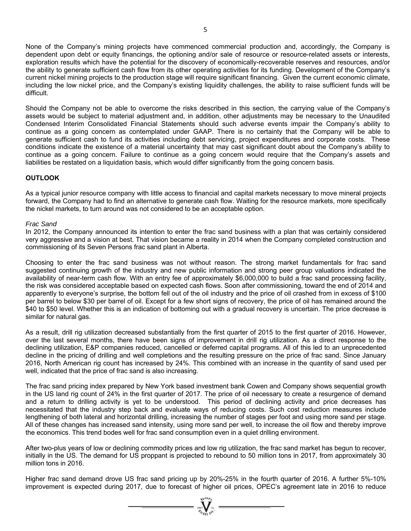None of the Company's mining projects have commenced commercial production and, accordingly, the Company is dependent upon debt or equity financings, the optioning and/or sale of resource or resource-related assets or interests, exploration results which have the potential for the discovery of economically-recoverable reserves and resources, and/or the ability to generate sufficient cash flow from its other operating activities for its funding. Development of the Company's current nickel mining projects to the production stage will require significant financing. Given the current economic climate, including the low nickel price, and the Company's existing liquidity challenges, the ability to raise sufficient funds will be difficult.

Should the Company not be able to overcome the risks described in this section, the carrying value of the Company's assets would be subject to material adjustment and, in addition, other adjustments may be necessary to the Unaudited Condensed Interim Consolidated Financial Statements should such adverse events impair the Company's ability to continue as a going concern as contemplated under GAAP. There is no certainty that the Company will be able to generate sufficient cash to fund its activities including debt servicing, project expenditures and corporate costs. These conditions indicate the existence of a material uncertainty that may cast significant doubt about the Company's ability to continue as a going concern. Failure to continue as a going concern would require that the Company's assets and liabilities be restated on a liquidation basis, which would differ significantly from the going concern basis.

## **OUTLOOK**

As a typical junior resource company with little access to financial and capital markets necessary to move mineral projects forward, the Company had to find an alternative to generate cash flow. Waiting for the resource markets, more specifically the nickel markets, to turn around was not considered to be an acceptable option.

### *Frac Sand*

In 2012, the Company announced its intention to enter the frac sand business with a plan that was certainly considered very aggressive and a vision at best. That vision became a reality in 2014 when the Company completed construction and commissioning of its Seven Persons frac sand plant in Alberta.

Choosing to enter the frac sand business was not without reason. The strong market fundamentals for frac sand suggested continuing growth of the industry and new public information and strong peer group valuations indicated the availability of near-term cash flow. With an entry fee of approximately \$6,000,000 to build a frac sand processing facility, the risk was considered acceptable based on expected cash flows. Soon after commissioning, toward the end of 2014 and apparently to everyone's surprise, the bottom fell out of the oil industry and the price of oil crashed from in excess of \$100 per barrel to below \$30 per barrel of oil. Except for a few short signs of recovery, the price of oil has remained around the \$40 to \$50 level. Whether this is an indication of bottoming out with a gradual recovery is uncertain. The price decrease is similar for natural gas.

As a result, drill rig utilization decreased substantially from the first quarter of 2015 to the first quarter of 2016. However, over the last several months, there have been signs of improvement in drill rig utilization. As a direct response to the declining utilization, E&P companies reduced, cancelled or deferred capital programs. All of this led to an unprecedented decline in the pricing of drilling and well completions and the resulting pressure on the price of frac sand. Since January 2016, North American rig count has increased by 24%. This combined with an increase in the quantity of sand used per well, indicated that the price of frac sand is also increasing.

The frac sand pricing index prepared by New York based investment bank Cowen and Company shows sequential growth in the US land rig count of 24% in the first quarter of 2017. The price of oil necessary to create a resurgence of demand and a return to drilling activity is yet to be understood. This period of declining activity and price decreases has necessitated that the industry step back and evaluate ways of reducing costs. Such cost reduction measures include lengthening of both lateral and horizontal drilling, increasing the number of stages per foot and using more sand per stage. All of these changes has increased sand intensity, using more sand per well, to increase the oil flow and thereby improve the economics. This trend bodes well for frac sand consumption even in a quiet drilling environment.

After two-plus years of low or declining commodity prices and low rig utilization, the frac sand market has begun to recover, initially in the US. The demand for US proppant is projected to rebound to 50 million tons in 2017, from approximately 30 million tons in 2016.

Higher frac sand demand drove US frac sand pricing up by 20%-25% in the fourth quarter of 2016. A further 5%-10% improvement is expected during 2017, due to forecast of higher oil prices, OPEC's agreement late in 2016 to reduce

 $=\sqrt[n]{\frac{1}{\sqrt[n]{\frac{1}{\sqrt[n]{\frac{1}{\sqrt[n]{\frac{1}{\sqrt{\frac{1}{\sqrt{\frac{1}{\sqrt{\frac{1}{\sqrt{\frac{1}{\sqrt{\frac{1}{\sqrt{\frac{1}{\sqrt{\frac{1}{\sqrt{\frac{1}{\sqrt{\frac{1}{\sqrt{\frac{1}{\sqrt{\frac{1}{\sqrt{\frac{1}{\sqrt{\frac{1}{\sqrt{\frac{1}{\sqrt{\frac{1}{\sqrt{\frac{1}{\sqrt{\frac{1}{\sqrt{\frac{1}{\sqrt{\frac{1}{\sqrt{\frac{1}{\sqrt{\frac{1}{\sqrt{\frac{1}{\sqrt{\frac{1}{\sqrt{\frac{1}{\sqrt{\frac{1}{1\sqrt{1\sqrt{1$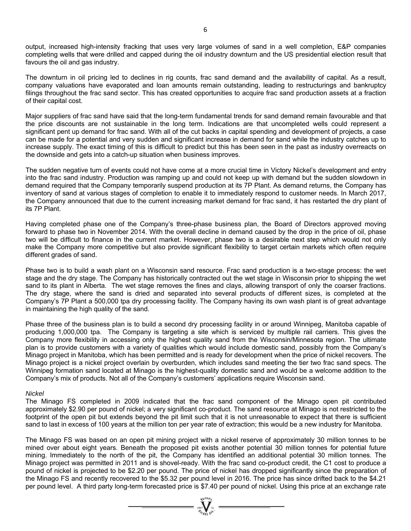output, increased high-intensity fracking that uses very large volumes of sand in a well completion, E&P companies completing wells that were drilled and capped during the oil industry downturn and the US presidential election result that favours the oil and gas industry.

The downturn in oil pricing led to declines in rig counts, frac sand demand and the availability of capital. As a result, company valuations have evaporated and loan amounts remain outstanding, leading to restructurings and bankruptcy filings throughout the frac sand sector. This has created opportunities to acquire frac sand production assets at a fraction of their capital cost.

Major suppliers of frac sand have said that the long-term fundamental trends for sand demand remain favourable and that the price discounts are not sustainable in the long term. Indications are that uncompleted wells could represent a significant pent up demand for frac sand. With all of the cut backs in capital spending and development of projects, a case can be made for a potential and very sudden and significant increase in demand for sand while the industry catches up to increase supply. The exact timing of this is difficult to predict but this has been seen in the past as industry overreacts on the downside and gets into a catch-up situation when business improves.

The sudden negative turn of events could not have come at a more crucial time in Victory Nickel's development and entry into the frac sand industry. Production was ramping up and could not keep up with demand but the sudden slowdown in demand required that the Company temporarily suspend production at its 7P Plant. As demand returns, the Company has inventory of sand at various stages of completion to enable it to immediately respond to customer needs. In March 2017, the Company announced that due to the current increasing market demand for frac sand, it has restarted the dry plant of its 7P Plant.

Having completed phase one of the Company's three-phase business plan, the Board of Directors approved moving forward to phase two in November 2014. With the overall decline in demand caused by the drop in the price of oil, phase two will be difficult to finance in the current market. However, phase two is a desirable next step which would not only make the Company more competitive but also provide significant flexibility to target certain markets which often require different grades of sand.

Phase two is to build a wash plant on a Wisconsin sand resource. Frac sand production is a two-stage process: the wet stage and the dry stage. The Company has historically contracted out the wet stage in Wisconsin prior to shipping the wet sand to its plant in Alberta. The wet stage removes the fines and clays, allowing transport of only the coarser fractions. The dry stage, where the sand is dried and separated into several products of different sizes, is completed at the Company's 7P Plant a 500,000 tpa dry processing facility. The Company having its own wash plant is of great advantage in maintaining the high quality of the sand.

Phase three of the business plan is to build a second dry processing facility in or around Winnipeg, Manitoba capable of producing 1,000,000 tpa. The Company is targeting a site which is serviced by multiple rail carriers. This gives the Company more flexibility in accessing only the highest quality sand from the Wisconsin/Minnesota region. The ultimate plan is to provide customers with a variety of qualities which would include domestic sand, possibly from the Company's Minago project in Manitoba, which has been permitted and is ready for development when the price of nickel recovers. The Minago project is a nickel project overlain by overburden, which includes sand meeting the tier two frac sand specs. The Winnipeg formation sand located at Minago is the highest-quality domestic sand and would be a welcome addition to the Company's mix of products. Not all of the Company's customers' applications require Wisconsin sand.

### *Nickel*

The Minago FS completed in 2009 indicated that the frac sand component of the Minago open pit contributed approximately \$2.90 per pound of nickel; a very significant co-product. The sand resource at Minago is not restricted to the footprint of the open pit but extends beyond the pit limit such that it is not unreasonable to expect that there is sufficient sand to last in excess of 100 years at the million ton per year rate of extraction; this would be a new industry for Manitoba.

The Minago FS was based on an open pit mining project with a nickel reserve of approximately 30 million tonnes to be mined over about eight years. Beneath the proposed pit exists another potential 30 million tonnes for potential future mining. Immediately to the north of the pit, the Company has identified an additional potential 30 million tonnes. The Minago project was permitted in 2011 and is shovel-ready. With the frac sand co-product credit, the C1 cost to produce a pound of nickel is projected to be \$2.20 per pound. The price of nickel has dropped significantly since the preparation of the Minago FS and recently recovered to the \$5.32 per pound level in 2016. The price has since drifted back to the \$4.21 per pound level. A third party long-term forecasted price is \$7.40 per pound of nickel. Using this price at an exchange rate

=  $\sum_{y \in \mathcal{Y}_{\text{GUT}}}^{y \in \text{GUT}}$  =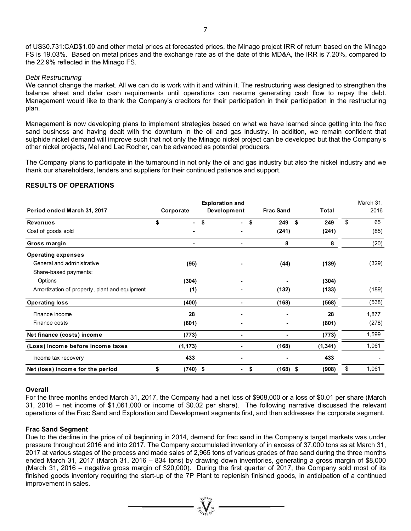of US\$0.731:CAD\$1.00 and other metal prices at forecasted prices, the Minago project IRR of return based on the Minago FS is 19.03%. Based on metal prices and the exchange rate as of the date of this MD&A, the IRR is 7.20%, compared to the 22.9% reflected in the Minago FS.

### *Debt Restructuring*

We cannot change the market. All we can do is work with it and within it. The restructuring was designed to strengthen the balance sheet and defer cash requirements until operations can resume generating cash flow to repay the debt. Management would like to thank the Company's creditors for their participation in their participation in the restructuring plan.

Management is now developing plans to implement strategies based on what we have learned since getting into the frac sand business and having dealt with the downturn in the oil and gas industry. In addition, we remain confident that sulphide nickel demand will improve such that not only the Minago nickel project can be developed but that the Company's other nickel projects, Mel and Lac Rocher, can be advanced as potential producers.

The Company plans to participate in the turnaround in not only the oil and gas industry but also the nickel industry and we thank our shareholders, lenders and suppliers for their continued patience and support.

### **RESULTS OF OPERATIONS**

|                                               | <b>Exploration and</b> |             |                  |           | March 31, |  |
|-----------------------------------------------|------------------------|-------------|------------------|-----------|-----------|--|
| Period ended March 31, 2017                   | Corporate              | Development | <b>Frac Sand</b> | Total     | 2016      |  |
| <b>Revenues</b>                               | \$                     | \$          | 249<br>\$        | 249<br>\$ | \$<br>65  |  |
| Cost of goods sold                            |                        |             | (241)            | (241)     | (85)      |  |
| Gross margin                                  |                        |             | 8                | 8         | (20)      |  |
| <b>Operating expenses</b>                     |                        |             |                  |           |           |  |
| General and administrative                    | (95)                   |             | (44)             | (139)     | (329)     |  |
| Share-based payments:                         |                        |             |                  |           |           |  |
| Options                                       | (304)                  |             |                  | (304)     |           |  |
| Amortization of property, plant and equipment | (1)                    |             | (132)            | (133)     | (189)     |  |
| <b>Operating loss</b>                         | (400)                  |             | (168)            | (568)     | (538)     |  |
| Finance income                                | 28                     |             |                  | 28        | 1,877     |  |
| Finance costs                                 | (801)                  |             |                  | (801)     | (278)     |  |
| Net finance (costs) income                    | (773)                  |             |                  | (773)     | 1,599     |  |
| (Loss) Income before income taxes             | (1, 173)               |             | (168)            | (1, 341)  | 1,061     |  |
| Income tax recovery                           | 433                    |             |                  | 433       |           |  |
| Net (loss) income for the period              | \$<br>$(740)$ \$       | ٠           | $(168)$ \$<br>\$ | (908)     | 1,061     |  |

### **Overall**

For the three months ended March 31, 2017, the Company had a net loss of \$908,000 or a loss of \$0.01 per share (March 31, 2016 – net income of \$1,061,000 or income of \$0.02 per share). The following narrative discussed the relevant operations of the Frac Sand and Exploration and Development segments first, and then addresses the corporate segment.

### **Frac Sand Segment**

Due to the decline in the price of oil beginning in 2014, demand for frac sand in the Company's target markets was under pressure throughout 2016 and into 2017. The Company accumulated inventory of in excess of 37,000 tons as at March 31, 2017 at various stages of the process and made sales of 2,965 tons of various grades of frac sand during the three months ended March 31, 2017 (March 31, 2016 – 834 tons) by drawing down inventories, generating a gross margin of \$8,000 (March 31, 2016 – negative gross margin of \$20,000). During the first quarter of 2017, the Company sold most of its finished goods inventory requiring the start-up of the 7P Plant to replenish finished goods, in anticipation of a continued improvement in sales.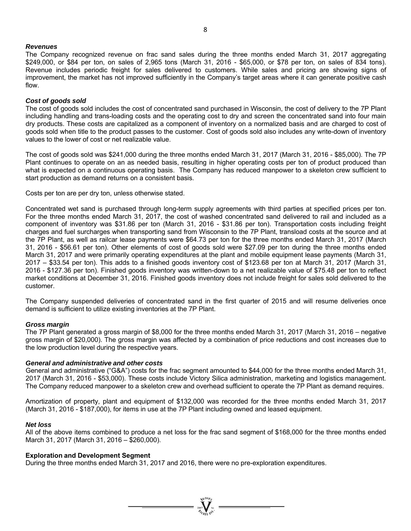### *Revenues*

The Company recognized revenue on frac sand sales during the three months ended March 31, 2017 aggregating \$249,000, or \$84 per ton, on sales of 2,965 tons (March 31, 2016 - \$65,000, or \$78 per ton, on sales of 834 tons). Revenue includes periodic freight for sales delivered to customers. While sales and pricing are showing signs of improvement, the market has not improved sufficiently in the Company's target areas where it can generate positive cash flow.

### *Cost of goods sold*

The cost of goods sold includes the cost of concentrated sand purchased in Wisconsin, the cost of delivery to the 7P Plant including handling and trans-loading costs and the operating cost to dry and screen the concentrated sand into four main dry products. These costs are capitalized as a component of inventory on a normalized basis and are charged to cost of goods sold when title to the product passes to the customer. Cost of goods sold also includes any write-down of inventory values to the lower of cost or net realizable value.

The cost of goods sold was \$241,000 during the three months ended March 31, 2017 (March 31, 2016 - \$85,000). The 7P Plant continues to operate on an as needed basis, resulting in higher operating costs per ton of product produced than what is expected on a continuous operating basis. The Company has reduced manpower to a skeleton crew sufficient to start production as demand returns on a consistent basis.

Costs per ton are per dry ton, unless otherwise stated.

Concentrated wet sand is purchased through long-term supply agreements with third parties at specified prices per ton. For the three months ended March 31, 2017, the cost of washed concentrated sand delivered to rail and included as a component of inventory was \$31.86 per ton (March 31, 2016 - \$31.86 per ton). Transportation costs including freight charges and fuel surcharges when transporting sand from Wisconsin to the 7P Plant, transload costs at the source and at the 7P Plant, as well as railcar lease payments were \$64.73 per ton for the three months ended March 31, 2017 (March 31, 2016 - \$56.61 per ton). Other elements of cost of goods sold were \$27.09 per ton during the three months ended March 31, 2017 and were primarily operating expenditures at the plant and mobile equipment lease payments (March 31, 2017 – \$33.54 per ton). This adds to a finished goods inventory cost of \$123.68 per ton at March 31, 2017 (March 31, 2016 - \$127.36 per ton). Finished goods inventory was written-down to a net realizable value of \$75.48 per ton to reflect market conditions at December 31, 2016. Finished goods inventory does not include freight for sales sold delivered to the customer.

The Company suspended deliveries of concentrated sand in the first quarter of 2015 and will resume deliveries once demand is sufficient to utilize existing inventories at the 7P Plant.

### *Gross margin*

The 7P Plant generated a gross margin of \$8,000 for the three months ended March 31, 2017 (March 31, 2016 – negative gross margin of \$20,000). The gross margin was affected by a combination of price reductions and cost increases due to the low production level during the respective years.

### *General and administrative and other costs*

General and administrative ("G&A") costs for the frac segment amounted to \$44,000 for the three months ended March 31, 2017 (March 31, 2016 - \$53,000). These costs include Victory Silica administration, marketing and logistics management. The Company reduced manpower to a skeleton crew and overhead sufficient to operate the 7P Plant as demand requires.

Amortization of property, plant and equipment of \$132,000 was recorded for the three months ended March 31, 2017 (March 31, 2016 - \$187,000), for items in use at the 7P Plant including owned and leased equipment.

### *Net loss*

All of the above items combined to produce a net loss for the frac sand segment of \$168,000 for the three months ended March 31, 2017 (March 31, 2016 – \$260,000).

### **Exploration and Development Segment**

During the three months ended March 31, 2017 and 2016, there were no pre-exploration expenditures.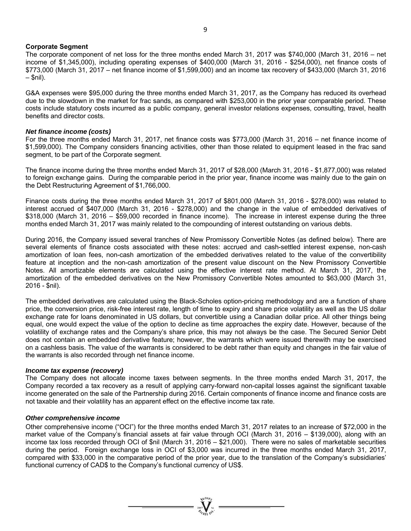### **Corporate Segment**

The corporate component of net loss for the three months ended March 31, 2017 was \$740,000 (March 31, 2016 – net income of \$1,345,000), including operating expenses of \$400,000 (March 31, 2016 - \$254,000), net finance costs of \$773,000 (March 31, 2017 – net finance income of \$1,599,000) and an income tax recovery of \$433,000 (March 31, 2016  $-$  \$nil).

G&A expenses were \$95,000 during the three months ended March 31, 2017, as the Company has reduced its overhead due to the slowdown in the market for frac sands, as compared with \$253,000 in the prior year comparable period. These costs include statutory costs incurred as a public company, general investor relations expenses, consulting, travel, health benefits and director costs.

### *Net finance income (costs)*

For the three months ended March 31, 2017, net finance costs was \$773,000 (March 31, 2016 – net finance income of \$1,599,000). The Company considers financing activities, other than those related to equipment leased in the frac sand segment, to be part of the Corporate segment.

The finance income during the three months ended March 31, 2017 of \$28,000 (March 31, 2016 - \$1,877,000) was related to foreign exchange gains. During the comparable period in the prior year, finance income was mainly due to the gain on the Debt Restructuring Agreement of \$1,766,000.

Finance costs during the three months ended March 31, 2017 of \$801,000 (March 31, 2016 - \$278,000) was related to interest accrued of \$407,000 (March 31, 2016 - \$278,000) and the change in the value of embedded derivatives of \$318,000 (March 31, 2016 – \$59,000 recorded in finance income). The increase in interest expense during the three months ended March 31, 2017 was mainly related to the compounding of interest outstanding on various debts.

During 2016, the Company issued several tranches of New Promissory Convertible Notes (as defined below). There are several elements of finance costs associated with these notes: accrued and cash-settled interest expense, non-cash amortization of loan fees, non-cash amortization of the embedded derivatives related to the value of the convertibility feature at inception and the non-cash amortization of the present value discount on the New Promissory Convertible Notes. All amortizable elements are calculated using the effective interest rate method. At March 31, 2017, the amortization of the embedded derivatives on the New Promissory Convertible Notes amounted to \$63,000 (March 31, 2016 - \$nil).

The embedded derivatives are calculated using the Black-Scholes option-pricing methodology and are a function of share price, the conversion price, risk-free interest rate, length of time to expiry and share price volatility as well as the US dollar exchange rate for loans denominated in US dollars, but convertible using a Canadian dollar price. All other things being equal, one would expect the value of the option to decline as time approaches the expiry date. However, because of the volatility of exchange rates and the Company's share price, this may not always be the case. The Secured Senior Debt does not contain an embedded derivative feature; however, the warrants which were issued therewith may be exercised on a cashless basis. The value of the warrants is considered to be debt rather than equity and changes in the fair value of the warrants is also recorded through net finance income.

### *Income tax expense (recovery)*

The Company does not allocate income taxes between segments. In the three months ended March 31, 2017, the Company recorded a tax recovery as a result of applying carry-forward non-capital losses against the significant taxable income generated on the sale of the Partnership during 2016. Certain components of finance income and finance costs are not taxable and their volatility has an apparent effect on the effective income tax rate.

### *Other comprehensive income*

Other comprehensive income ("OCI") for the three months ended March 31, 2017 relates to an increase of \$72,000 in the market value of the Company's financial assets at fair value through OCI (March 31, 2016 – \$139,000), along with an income tax loss recorded through OCI of \$nil (March 31, 2016 – \$21,000). There were no sales of marketable securities during the period. Foreign exchange loss in OCI of \$3,000 was incurred in the three months ended March 31, 2017, compared with \$33,000 in the comparative period of the prior year, due to the translation of the Company's subsidiaries' functional currency of CAD\$ to the Company's functional currency of US\$.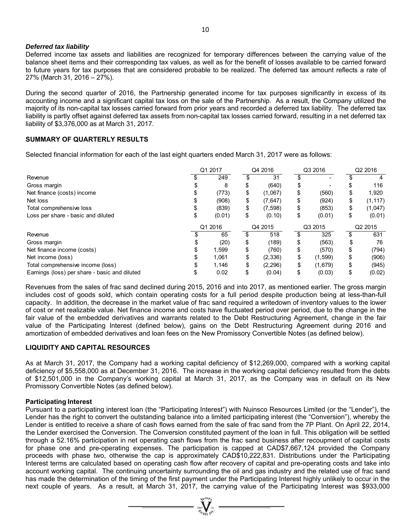### *Deferred tax liability*

Deferred income tax assets and liabilities are recognized for temporary differences between the carrying value of the balance sheet items and their corresponding tax values, as well as for the benefit of losses available to be carried forward to future years for tax purposes that are considered probable to be realized. The deferred tax amount reflects a rate of 27% (March 31, 2016 – 27%).

During the second quarter of 2016, the Partnership generated income for tax purposes significantly in excess of its accounting income and a significant capital tax loss on the sale of the Partnership. As a result, the Company utilized the majority of its non-capital tax losses carried forward from prior years and recorded a deferred tax liability. The deferred tax liability is partly offset against deferred tax assets from non-capital tax losses carried forward, resulting in a net deferred tax liability of \$3,376,000 as at March 31, 2017.

## **SUMMARY OF QUARTERLY RESULTS**

Selected financial information for each of the last eight quarters ended March 31, 2017 were as follows:

|                                               | Q1 2017 |         | Q4 2016        |    | Q3 2016 |    | Q2 2016  |  |
|-----------------------------------------------|---------|---------|----------------|----|---------|----|----------|--|
| Revenue                                       |         | 249     | 31             |    | -       |    |          |  |
| Gross margin                                  |         | 8       | (640)          | \$ |         |    | 116      |  |
| Net finance (costs) income                    |         | (773)   | \$<br>(1,067)  | \$ | (560)   | \$ | 1,920    |  |
| Net loss                                      |         | (908)   | \$<br>(7,647)  | \$ | (924)   | \$ | (1, 117) |  |
| Total comprehensive loss                      |         | (839)   | \$<br>(7, 598) | \$ | (853)   | \$ | (1,047)  |  |
| Loss per share - basic and diluted            |         | (0.01)  | \$<br>(0.10)   | \$ | (0.01)  | \$ | (0.01)   |  |
|                                               |         | Q1 2016 | Q4 2015        |    | Q3 2015 |    | Q2 2015  |  |
| Revenue                                       |         | 65      | 518            | S  | 325     |    | 631      |  |
| Gross margin                                  |         | (20)    | \$<br>(189)    | \$ | (563)   |    | 76       |  |
| Net finance income (costs)                    |         | 1,599   | \$<br>(760)    | \$ | (570)   | \$ | (794)    |  |
| Net income (loss)                             |         | 1.061   | \$<br>(2,336)  | \$ | (1,599) | \$ | (906)    |  |
| Total comprehensive income (loss)             |         | 1.146   | (2, 296)       | \$ | (1,679) | \$ | (945)    |  |
| Earnings (loss) per share - basic and diluted |         | 0.02    | (0.04)         | \$ | (0.03)  |    | (0.02)   |  |

Revenues from the sales of frac sand declined during 2015, 2016 and into 2017, as mentioned earlier. The gross margin includes cost of goods sold, which contain operating costs for a full period despite production being at less-than-full capacity. In addition, the decrease in the market value of frac sand required a writedown of inventory values to the lower of cost or net realizable value. Net finance income and costs have fluctuated period over period, due to the change in the fair value of the embedded derivatives and warrants related to the Debt Restructuring Agreement, change in the fair value of the Participating Interest (defined below), gains on the Debt Restructuring Agreement during 2016 and amortization of embedded derivatives and loan fees on the New Promissory Convertible Notes (as defined below).

## **LIQUIDITY AND CAPITAL RESOURCES**

As at March 31, 2017, the Company had a working capital deficiency of \$12,269,000, compared with a working capital deficiency of \$5,558,000 as at December 31, 2016. The increase in the working capital deficiency resulted from the debts of \$12,501,000 in the Company's working capital at March 31, 2017, as the Company was in default on its New Promissory Convertible Notes (as defined below).

### **Participating Interest**

Pursuant to a participating interest loan (the "Participating Interest") with Nuinsco Resources Limited (or the "Lender"), the Lender has the right to convert the outstanding balance into a limited participating interest (the "Conversion"), whereby the Lender is entitled to receive a share of cash flows earned from the sale of frac sand from the 7P Plant. On April 22, 2014, the Lender exercised the Conversion. The Conversion constituted payment of the loan in full. This obligation will be settled through a 52.16% participation in net operating cash flows from the frac sand business after recoupment of capital costs for phase one and pre-operating expenses. The participation is capped at CAD\$7,667,124 provided the Company proceeds with phase two, otherwise the cap is approximately CAD\$10,222,831. Distributions under the Participating Interest terms are calculated based on operating cash flow after recovery of capital and pre-operating costs and take into account working capital. The continuing uncertainty surrounding the oil and gas industry and the related use of frac sand has made the determination of the timing of the first payment under the Participating Interest highly unlikely to occur in the next couple of years. As a result, at March 31, 2017, the carrying value of the Participating Interest was \$933,000

 $\sum_{m=1}^{\infty} \sum_{k=1}^{\infty} \sum_{k=1}^{n} k_k$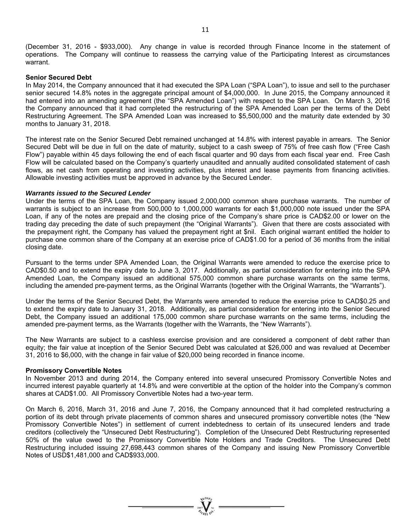(December 31, 2016 - \$933,000). Any change in value is recorded through Finance Income in the statement of operations. The Company will continue to reassess the carrying value of the Participating Interest as circumstances warrant.

### **Senior Secured Debt**

In May 2014, the Company announced that it had executed the SPA Loan ("SPA Loan"), to issue and sell to the purchaser senior secured 14.8% notes in the aggregate principal amount of \$4,000,000. In June 2015, the Company announced it had entered into an amending agreement (the "SPA Amended Loan") with respect to the SPA Loan. On March 3, 2016 the Company announced that it had completed the restructuring of the SPA Amended Loan per the terms of the Debt Restructuring Agreement. The SPA Amended Loan was increased to \$5,500,000 and the maturity date extended by 30 months to January 31, 2018.

The interest rate on the Senior Secured Debt remained unchanged at 14.8% with interest payable in arrears. The Senior Secured Debt will be due in full on the date of maturity, subject to a cash sweep of 75% of free cash flow ("Free Cash Flow") payable within 45 days following the end of each fiscal quarter and 90 days from each fiscal year end. Free Cash Flow will be calculated based on the Company's quarterly unaudited and annually audited consolidated statement of cash flows, as net cash from operating and investing activities, plus interest and lease payments from financing activities. Allowable investing activities must be approved in advance by the Secured Lender.

### *Warrants issued to the Secured Lender*

Under the terms of the SPA Loan, the Company issued 2,000,000 common share purchase warrants. The number of warrants is subject to an increase from 500,000 to 1,000,000 warrants for each \$1,000,000 note issued under the SPA Loan, if any of the notes are prepaid and the closing price of the Company's share price is CAD\$2.00 or lower on the trading day preceding the date of such prepayment (the "Original Warrants"). Given that there are costs associated with the prepayment right, the Company has valued the prepayment right at \$nil. Each original warrant entitled the holder to purchase one common share of the Company at an exercise price of CAD\$1.00 for a period of 36 months from the initial closing date.

Pursuant to the terms under SPA Amended Loan, the Original Warrants were amended to reduce the exercise price to CAD\$0.50 and to extend the expiry date to June 3, 2017. Additionally, as partial consideration for entering into the SPA Amended Loan, the Company issued an additional 575,000 common share purchase warrants on the same terms, including the amended pre-payment terms, as the Original Warrants (together with the Original Warrants, the "Warrants").

Under the terms of the Senior Secured Debt, the Warrants were amended to reduce the exercise price to CAD\$0.25 and to extend the expiry date to January 31, 2018. Additionally, as partial consideration for entering into the Senior Secured Debt, the Company issued an additional 175,000 common share purchase warrants on the same terms, including the amended pre-payment terms, as the Warrants (together with the Warrants, the "New Warrants").

The New Warrants are subject to a cashless exercise provision and are considered a component of debt rather than equity; the fair value at inception of the Senior Secured Debt was calculated at \$26,000 and was revalued at December 31, 2016 to \$6,000, with the change in fair value of \$20,000 being recorded in finance income.

### **Promissory Convertible Notes**

In November 2013 and during 2014, the Company entered into several unsecured Promissory Convertible Notes and incurred interest payable quarterly at 14.8% and were convertible at the option of the holder into the Company's common shares at CAD\$1.00. All Promissory Convertible Notes had a two-year term.

On March 6, 2016, March 31, 2016 and June 7, 2016, the Company announced that it had completed restructuring a portion of its debt through private placements of common shares and unsecured promissory convertible notes (the "New Promissory Convertible Notes") in settlement of current indebtedness to certain of its unsecured lenders and trade creditors (collectively the "Unsecured Debt Restructuring"). Completion of the Unsecured Debt Restructuring represented 50% of the value owed to the Promissory Convertible Note Holders and Trade Creditors. The Unsecured Debt Restructuring included issuing 27,698,443 common shares of the Company and issuing New Promissory Convertible Notes of USD\$1,481,000 and CAD\$933,000.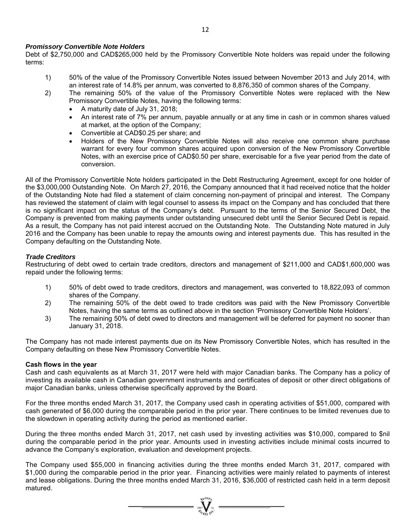### *Promissory Convertible Note Holders*

Debt of \$2,750,000 and CAD\$265,000 held by the Promissory Convertible Note holders was repaid under the following terms:

- 1) 50% of the value of the Promissory Convertible Notes issued between November 2013 and July 2014, with an interest rate of 14.8% per annum, was converted to 8,876,350 of common shares of the Company.
- 2) The remaining 50% of the value of the Promissory Convertible Notes were replaced with the New Promissory Convertible Notes, having the following terms:
	- A maturity date of July 31, 2018;
	- An interest rate of 7% per annum, payable annually or at any time in cash or in common shares valued at market, at the option of the Company;
	- Convertible at CAD\$0.25 per share; and
	- Holders of the New Promissory Convertible Notes will also receive one common share purchase warrant for every four common shares acquired upon conversion of the New Promissory Convertible Notes, with an exercise price of CAD\$0.50 per share, exercisable for a five year period from the date of conversion.

All of the Promissory Convertible Note holders participated in the Debt Restructuring Agreement, except for one holder of the \$3,000,000 Outstanding Note. On March 27, 2016, the Company announced that it had received notice that the holder of the Outstanding Note had filed a statement of claim concerning non-payment of principal and interest. The Company has reviewed the statement of claim with legal counsel to assess its impact on the Company and has concluded that there is no significant impact on the status of the Company's debt. Pursuant to the terms of the Senior Secured Debt, the Company is prevented from making payments under outstanding unsecured debt until the Senior Secured Debt is repaid. As a result, the Company has not paid interest accrued on the Outstanding Note. The Outstanding Note matured in July 2016 and the Company has been unable to repay the amounts owing and interest payments due. This has resulted in the Company defaulting on the Outstanding Note.

## *Trade Creditors*

Restructuring of debt owed to certain trade creditors, directors and management of \$211,000 and CAD\$1,600,000 was repaid under the following terms:

- 1) 50% of debt owed to trade creditors, directors and management, was converted to 18,822,093 of common shares of the Company.
- 2) The remaining 50% of the debt owed to trade creditors was paid with the New Promissory Convertible Notes, having the same terms as outlined above in the section 'Promissory Convertible Note Holders'.
- 3) The remaining 50% of debt owed to directors and management will be deferred for payment no sooner than January 31, 2018.

The Company has not made interest payments due on its New Promissory Convertible Notes, which has resulted in the Company defaulting on these New Promissory Convertible Notes.

### **Cash flows in the year**

Cash and cash equivalents as at March 31, 2017 were held with major Canadian banks. The Company has a policy of investing its available cash in Canadian government instruments and certificates of deposit or other direct obligations of major Canadian banks, unless otherwise specifically approved by the Board.

For the three months ended March 31, 2017, the Company used cash in operating activities of \$51,000, compared with cash generated of \$6,000 during the comparable period in the prior year. There continues to be limited revenues due to the slowdown in operating activity during the period as mentioned earlier.

During the three months ended March 31, 2017, net cash used by investing activities was \$10,000, compared to \$nil during the comparable period in the prior year. Amounts used in investing activities include minimal costs incurred to advance the Company's exploration, evaluation and development projects.

The Company used \$55,000 in financing activities during the three months ended March 31, 2017, compared with \$1,000 during the comparable period in the prior year. Financing activities were mainly related to payments of interest and lease obligations. During the three months ended March 31, 2016, \$36,000 of restricted cash held in a term deposit matured.

 $=\prod_{\alpha\in\mathcal{N}_{\text{eff}}}^{\text{val}}\sum_{\alpha\in\mathcal{N}_{\text{eff}}}$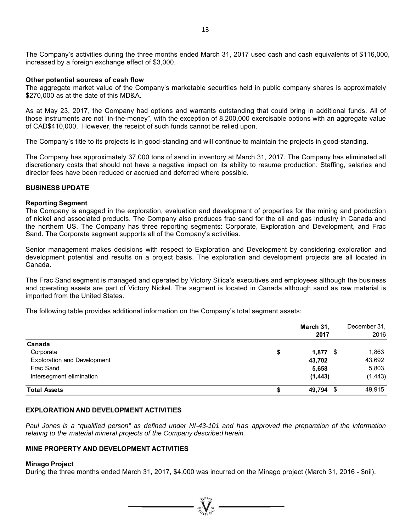The Company's activities during the three months ended March 31, 2017 used cash and cash equivalents of \$116,000, increased by a foreign exchange effect of \$3,000.

#### **Other potential sources of cash flow**

The aggregate market value of the Company's marketable securities held in public company shares is approximately \$270,000 as at the date of this MD&A.

As at May 23, 2017, the Company had options and warrants outstanding that could bring in additional funds. All of those instruments are not "in-the-money", with the exception of 8,200,000 exercisable options with an aggregate value of CAD\$410,000. However, the receipt of such funds cannot be relied upon.

The Company's title to its projects is in good-standing and will continue to maintain the projects in good-standing.

The Company has approximately 37,000 tons of sand in inventory at March 31, 2017. The Company has eliminated all discretionary costs that should not have a negative impact on its ability to resume production. Staffing, salaries and director fees have been reduced or accrued and deferred where possible.

### **BUSINESS UPDATE**

#### **Reporting Segment**

The Company is engaged in the exploration, evaluation and development of properties for the mining and production of nickel and associated products. The Company also produces frac sand for the oil and gas industry in Canada and the northern US. The Company has three reporting segments: Corporate, Exploration and Development, and Frac Sand. The Corporate segment supports all of the Company's activities.

Senior management makes decisions with respect to Exploration and Development by considering exploration and development potential and results on a project basis. The exploration and development projects are all located in Canada.

The Frac Sand segment is managed and operated by Victory Silica's executives and employees although the business and operating assets are part of Victory Nickel. The segment is located in Canada although sand as raw material is imported from the United States.

The following table provides additional information on the Company's total segment assets:

|                                    | March 31,<br>2017 | December 31,<br>2016 |
|------------------------------------|-------------------|----------------------|
| Canada                             |                   |                      |
| Corporate                          | \$<br>$1,877$ \$  | 1,863                |
| <b>Exploration and Development</b> | 43,702            | 43,692               |
| Frac Sand                          | 5,658             | 5,803                |
| Intersegment elimination           | (1, 443)          | (1, 443)             |
| <b>Total Assets</b>                | - \$<br>49,794    | 49,915               |

### **EXPLORATION AND DEVELOPMENT ACTIVITIES**

Paul Jones is a "qualified person" as defined under NI-43-101 and has approved the preparation of the information *relating to the material mineral projects of the Company described herein.* 

### **MINE PROPERTY AND DEVELOPMENT ACTIVITIES**

### **Minago Project**

During the three months ended March 31, 2017, \$4,000 was incurred on the Minago project (March 31, 2016 - \$nil).

 $=\sum_{\alpha}$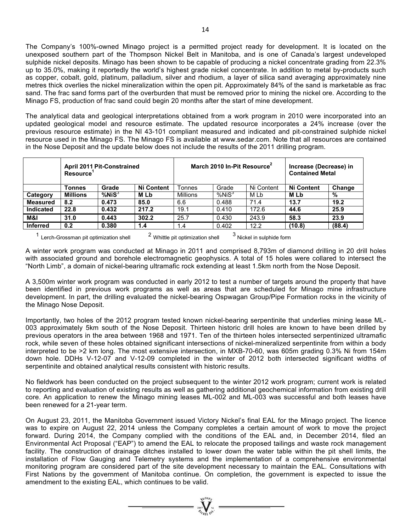The Company's 100%-owned Minago project is a permitted project ready for development. It is located on the unexposed southern part of the Thompson Nickel Belt in Manitoba, and is one of Canada's largest undeveloped sulphide nickel deposits. Minago has been shown to be capable of producing a nickel concentrate grading from 22.3% up to 35.0%, making it reportedly the world's highest grade nickel concentrate. In addition to metal by-products such as copper, cobalt, gold, platinum, palladium, silver and rhodium, a layer of silica sand averaging approximately nine metres thick overlies the nickel mineralization within the open pit. Approximately 84% of the sand is marketable as frac sand. The frac sand forms part of the overburden that must be removed prior to mining the nickel ore. According to the Minago FS, production of frac sand could begin 20 months after the start of mine development.

The analytical data and geological interpretations obtained from a work program in 2010 were incorporated into an updated geological model and resource estimate. The updated resource incorporates a 24% increase (over the previous resource estimate) in the NI 43-101 compliant measured and indicated and pit-constrained sulphide nickel resource used in the Minago FS. The Minago FS is available at www.sedar.com. Note that all resources are contained in the Nose Deposit and the update below does not include the results of the 2011 drilling program.

|                  | <b>April 2011 Pit-Constrained</b><br>Resource <sup>1</sup> |              | March 2010 In-Pit Resource <sup>2</sup> |          |                   | Increase (Decrease) in<br><b>Contained Metal</b> |            |        |
|------------------|------------------------------------------------------------|--------------|-----------------------------------------|----------|-------------------|--------------------------------------------------|------------|--------|
|                  | Tonnes                                                     | Grade        | <b>Ni Content</b>                       | Tonnes   | Grade             | Ni Content                                       | Ni Content | Change |
| Category         | <b>Millions</b>                                            | $%$ Ni $S^3$ | <b>MLb</b>                              | Millions | %NiS <sup>3</sup> | M Lb                                             | <b>MLb</b> | %      |
| <b>Measured</b>  | 8.2                                                        | 0.473        | 85.0                                    | 6.6      | 0.488             | 71.4                                             | 13.7       | 19.2   |
| <b>Indicated</b> | 22.8                                                       | 0.432        | 217.2                                   | 19.1     | 0.410             | 172.6                                            | 44.6       | 25.9   |
| M&I              | 31.0                                                       | 0.443        | 302.2                                   | 25.7     | 0.430             | 243.9                                            | 58.3       | 23.9   |
| <b>Inferred</b>  | 0.2                                                        | 0.380        | 1.4                                     | 1.4      | 0.402             | 12.2                                             | (10.8)     | (88.4) |

<sup>1</sup> Lerch-Grossman pit optimization shell  $2$  Whittle pit optimization shell  $3$  Nickel in sulphide form

A winter work program was conducted at Minago in 2011 and comprised 8,793m of diamond drilling in 20 drill holes with associated ground and borehole electromagnetic geophysics. A total of 15 holes were collared to intersect the "North Limb", a domain of nickel-bearing ultramafic rock extending at least 1.5km north from the Nose Deposit.

A 3,500m winter work program was conducted in early 2012 to test a number of targets around the property that have been identified in previous work programs as well as areas that are scheduled for Minago mine infrastructure development. In part, the drilling evaluated the nickel-bearing Ospwagan Group/Pipe Formation rocks in the vicinity of the Minago Nose Deposit.

Importantly, two holes of the 2012 program tested known nickel-bearing serpentinite that underlies mining lease ML-003 approximately 5km south of the Nose Deposit. Thirteen historic drill holes are known to have been drilled by previous operators in the area between 1968 and 1971. Ten of the thirteen holes intersected serpentinized ultramafic rock, while seven of these holes obtained significant intersections of nickel-mineralized serpentinite from within a body interpreted to be >2 km long. The most extensive intersection, in MXB-70-60, was 605m grading 0.3% Ni from 154m down hole. DDHs V-12-07 and V-12-09 completed in the winter of 2012 both intersected significant widths of serpentinite and obtained analytical results consistent with historic results.

No fieldwork has been conducted on the project subsequent to the winter 2012 work program; current work is related to reporting and evaluation of existing results as well as gathering additional geochemical information from existing drill core. An application to renew the Minago mining leases ML-002 and ML-003 was successful and both leases have been renewed for a 21-year term.

On August 23, 2011, the Manitoba Government issued Victory Nickel's final EAL for the Minago project. The licence was to expire on August 22, 2014 unless the Company completes a certain amount of work to move the project forward. During 2014, the Company complied with the conditions of the EAL and, in December 2014, filed an Environmental Act Proposal ("EAP") to amend the EAL to relocate the proposed tailings and waste rock management facility. The construction of drainage ditches installed to lower down the water table within the pit shell limits, the installation of Flow Gauging and Telemetry systems and the implementation of a comprehensive environmental monitoring program are considered part of the site development necessary to maintain the EAL. Consultations with First Nations by the government of Manitoba continue. On completion, the government is expected to issue the amendment to the existing EAL, which continues to be valid.

 $\sum_{\substack{n=1\\ \text{if } n\in \mathbb{N}}}$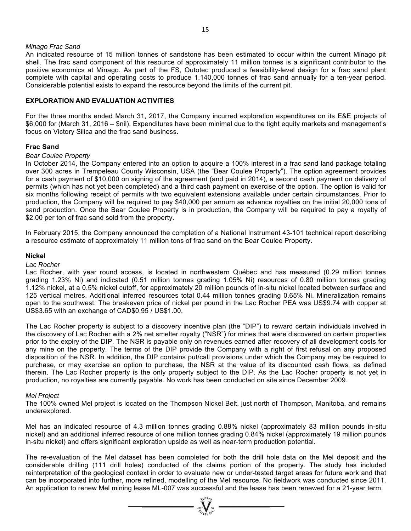### *Minago Frac Sand*

An indicated resource of 15 million tonnes of sandstone has been estimated to occur within the current Minago pit shell. The frac sand component of this resource of approximately 11 million tonnes is a significant contributor to the positive economics at Minago. As part of the FS, Outotec produced a feasibility-level design for a frac sand plant complete with capital and operating costs to produce 1,140,000 tonnes of frac sand annually for a ten-year period. Considerable potential exists to expand the resource beyond the limits of the current pit.

### **EXPLORATION AND EVALUATION ACTIVITIES**

For the three months ended March 31, 2017, the Company incurred exploration expenditures on its E&E projects of \$6,000 for (March 31, 2016 – \$nil). Expenditures have been minimal due to the tight equity markets and management's focus on Victory Silica and the frac sand business.

### **Frac Sand**

### *Bear Coulee Property*

In October 2014, the Company entered into an option to acquire a 100% interest in a frac sand land package totaling over 300 acres in Trempeleau County Wisconsin, USA (the "Bear Coulee Property"). The option agreement provides for a cash payment of \$10,000 on signing of the agreement (and paid in 2014), a second cash payment on delivery of permits (which has not yet been completed) and a third cash payment on exercise of the option. The option is valid for six months following receipt of permits with two equivalent extensions available under certain circumstances. Prior to production, the Company will be required to pay \$40,000 per annum as advance royalties on the initial 20,000 tons of sand production. Once the Bear Coulee Property is in production, the Company will be required to pay a royalty of \$2.00 per ton of frac sand sold from the property.

In February 2015, the Company announced the completion of a National Instrument 43-101 technical report describing a resource estimate of approximately 11 million tons of frac sand on the Bear Coulee Property.

### **Nickel**

*Lac Rocher* 

Lac Rocher, with year round access, is located in northwestern Québec and has measured (0.29 million tonnes grading 1.23% Ni) and indicated (0.51 million tonnes grading 1.05% Ni) resources of 0.80 million tonnes grading 1.12% nickel, at a 0.5% nickel cutoff, for approximately 20 million pounds of in-situ nickel located between surface and 125 vertical metres. Additional inferred resources total 0.44 million tonnes grading 0.65% Ni. Mineralization remains open to the southwest. The breakeven price of nickel per pound in the Lac Rocher PEA was US\$9.74 with copper at US\$3.65 with an exchange of CAD\$0.95 / US\$1.00.

The Lac Rocher property is subject to a discovery incentive plan (the "DIP") to reward certain individuals involved in the discovery of Lac Rocher with a 2% net smelter royalty ("NSR") for mines that were discovered on certain properties prior to the expiry of the DIP. The NSR is payable only on revenues earned after recovery of all development costs for any mine on the property. The terms of the DIP provide the Company with a right of first refusal on any proposed disposition of the NSR. In addition, the DIP contains put/call provisions under which the Company may be required to purchase, or may exercise an option to purchase, the NSR at the value of its discounted cash flows, as defined therein. The Lac Rocher property is the only property subject to the DIP. As the Lac Rocher property is not yet in production, no royalties are currently payable. No work has been conducted on site since December 2009.

### *Mel Project*

The 100% owned Mel project is located on the Thompson Nickel Belt, just north of Thompson, Manitoba, and remains underexplored.

Mel has an indicated resource of 4.3 million tonnes grading 0.88% nickel (approximately 83 million pounds in-situ nickel) and an additional inferred resource of one million tonnes grading 0.84% nickel (approximately 19 million pounds in-situ nickel) and offers significant exploration upside as well as near-term production potential.

The re-evaluation of the Mel dataset has been completed for both the drill hole data on the Mel deposit and the considerable drilling (111 drill holes) conducted of the claims portion of the property. The study has included reinterpretation of the geological context in order to evaluate new or under-tested target areas for future work and that can be incorporated into further, more refined, modelling of the Mel resource. No fieldwork was conducted since 2011. An application to renew Mel mining lease ML-007 was successful and the lease has been renewed for a 21-year term.

 $\sum_{\alpha_{\ell m}}$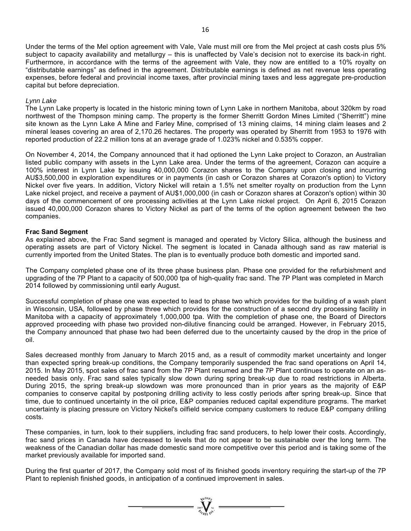Under the terms of the Mel option agreement with Vale, Vale must mill ore from the Mel project at cash costs plus 5% subject to capacity availability and metallurgy – this is unaffected by Vale's decision not to exercise its back-in right. Furthermore, in accordance with the terms of the agreement with Vale, they now are entitled to a 10% royalty on "distributable earnings" as defined in the agreement. Distributable earnings is defined as net revenue less operating expenses, before federal and provincial income taxes, after provincial mining taxes and less aggregate pre-production capital but before depreciation.

### *Lynn Lake*

The Lynn Lake property is located in the historic mining town of Lynn Lake in northern Manitoba, about 320km by road northwest of the Thompson mining camp. The property is the former Sherritt Gordon Mines Limited ("Sherritt") mine site known as the Lynn Lake A Mine and Farley Mine, comprised of 13 mining claims, 14 mining claim leases and 2 mineral leases covering an area of 2,170.26 hectares. The property was operated by Sherritt from 1953 to 1976 with reported production of 22.2 million tons at an average grade of 1.023% nickel and 0.535% copper.

On November 4, 2014, the Company announced that it had optioned the Lynn Lake project to Corazon, an Australian listed public company with assets in the Lynn Lake area. Under the terms of the agreement, Corazon can acquire a 100% interest in Lynn Lake by issuing 40,000,000 Corazon shares to the Company upon closing and incurring AU\$3,500,000 in exploration expenditures or in payments (in cash or Corazon shares at Corazon's option) to Victory Nickel over five years. In addition, Victory Nickel will retain a 1.5% net smelter royalty on production from the Lynn Lake nickel project, and receive a payment of AU\$1,000,000 (in cash or Corazon shares at Corazon's option) within 30 days of the commencement of ore processing activities at the Lynn Lake nickel project. On April 6, 2015 Corazon issued 40,000,000 Corazon shares to Victory Nickel as part of the terms of the option agreement between the two companies.

### **Frac Sand Segment**

As explained above, the Frac Sand segment is managed and operated by Victory Silica, although the business and operating assets are part of Victory Nickel. The segment is located in Canada although sand as raw material is currently imported from the United States. The plan is to eventually produce both domestic and imported sand.

The Company completed phase one of its three phase business plan. Phase one provided for the refurbishment and upgrading of the 7P Plant to a capacity of 500,000 tpa of high-quality frac sand. The 7P Plant was completed in March 2014 followed by commissioning until early August.

Successful completion of phase one was expected to lead to phase two which provides for the building of a wash plant in Wisconsin, USA, followed by phase three which provides for the construction of a second dry processing facility in Manitoba with a capacity of approximately 1,000,000 tpa. With the completion of phase one, the Board of Directors approved proceeding with phase two provided non-dilutive financing could be arranged. However, in February 2015, the Company announced that phase two had been deferred due to the uncertainty caused by the drop in the price of oil.

Sales decreased monthly from January to March 2015 and, as a result of commodity market uncertainty and longer than expected spring break-up conditions, the Company temporarily suspended the frac sand operations on April 14, 2015. In May 2015, spot sales of frac sand from the 7P Plant resumed and the 7P Plant continues to operate on an asneeded basis only. Frac sand sales typically slow down during spring break-up due to road restrictions in Alberta. During 2015, the spring break-up slowdown was more pronounced than in prior years as the majority of E&P companies to conserve capital by postponing drilling activity to less costly periods after spring break-up. Since that time, due to continued uncertainty in the oil price, E&P companies reduced capital expenditure programs. The market uncertainty is placing pressure on Victory Nickel's oilfield service company customers to reduce E&P company drilling costs.

These companies, in turn, look to their suppliers, including frac sand producers, to help lower their costs. Accordingly, frac sand prices in Canada have decreased to levels that do not appear to be sustainable over the long term. The weakness of the Canadian dollar has made domestic sand more competitive over this period and is taking some of the market previously available for imported sand.

During the first quarter of 2017, the Company sold most of its finished goods inventory requiring the start-up of the 7P Plant to replenish finished goods, in anticipation of a continued improvement in sales.

 $\sum_{n \in \mathbb{N}}$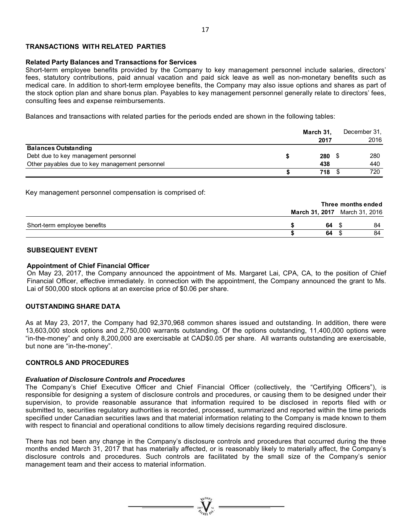## **TRANSACTIONS WITH RELATED PARTIES**

### **Related Party Balances and Transactions for Services**

Short-term employee benefits provided by the Company to key management personnel include salaries, directors' fees, statutory contributions, paid annual vacation and paid sick leave as well as non-monetary benefits such as medical care. In addition to short-term employee benefits, the Company may also issue options and shares as part of the stock option plan and share bonus plan. Payables to key management personnel generally relate to directors' fees, consulting fees and expense reimbursements.

Balances and transactions with related parties for the periods ended are shown in the following tables:

|                                                | March 31, |  | December 31, |  |
|------------------------------------------------|-----------|--|--------------|--|
|                                                | 2017      |  | 2016         |  |
| <b>Balances Outstanding</b>                    |           |  |              |  |
| Debt due to key management personnel           | 280       |  | 280          |  |
| Other payables due to key management personnel | 438       |  | 440          |  |
|                                                | 718       |  | 720          |  |

Key management personnel compensation is comprised of:

|                              | Three months ended |  |                               |  |
|------------------------------|--------------------|--|-------------------------------|--|
|                              |                    |  | March 31, 2017 March 31, 2016 |  |
| Short-term employee benefits | 64                 |  | 84                            |  |
|                              | 64                 |  | 84                            |  |

## **SUBSEQUENT EVENT**

### **Appointment of Chief Financial Officer**

On May 23, 2017, the Company announced the appointment of Ms. Margaret Lai, CPA, CA, to the position of Chief Financial Officer, effective immediately. In connection with the appointment, the Company announced the grant to Ms. Lai of 500,000 stock options at an exercise price of \$0.06 per share.

### **OUTSTANDING SHARE DATA**

As at May 23, 2017, the Company had 92,370,968 common shares issued and outstanding. In addition, there were 13,603,000 stock options and 2,750,000 warrants outstanding. Of the options outstanding, 11,400,000 options were "in-the-money" and only 8,200,000 are exercisable at CAD\$0.05 per share. All warrants outstanding are exercisable, but none are "in-the-money".

### **CONTROLS AND PROCEDURES**

### *Evaluation of Disclosure Controls and Procedures*

The Company's Chief Executive Officer and Chief Financial Officer (collectively, the "Certifying Officers"), is responsible for designing a system of disclosure controls and procedures, or causing them to be designed under their supervision, to provide reasonable assurance that information required to be disclosed in reports filed with or submitted to, securities regulatory authorities is recorded, processed, summarized and reported within the time periods specified under Canadian securities laws and that material information relating to the Company is made known to them with respect to financial and operational conditions to allow timely decisions regarding required disclosure.

There has not been any change in the Company's disclosure controls and procedures that occurred during the three months ended March 31, 2017 that has materially affected, or is reasonably likely to materially affect, the Company's disclosure controls and procedures. Such controls are facilitated by the small size of the Company's senior management team and their access to material information.